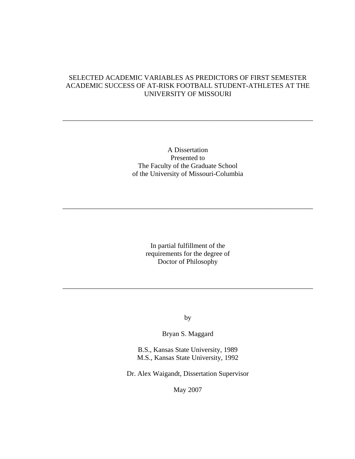# SELECTED ACADEMIC VARIABLES AS PREDICTORS OF FIRST SEMESTER ACADEMIC SUCCESS OF AT-RISK FOOTBALL STUDENT-ATHLETES AT THE UNIVERSITY OF MISSOURI

\_\_\_\_\_\_\_\_\_\_\_\_\_\_\_\_\_\_\_\_\_\_\_\_\_\_\_\_\_\_\_\_\_\_\_\_\_\_\_\_\_\_\_\_\_\_\_\_\_\_\_\_\_\_\_\_\_\_\_\_\_\_\_\_\_\_\_\_\_\_\_\_

## A Dissertation Presented to The Faculty of the Graduate School of the University of Missouri-Columbia

\_\_\_\_\_\_\_\_\_\_\_\_\_\_\_\_\_\_\_\_\_\_\_\_\_\_\_\_\_\_\_\_\_\_\_\_\_\_\_\_\_\_\_\_\_\_\_\_\_\_\_\_\_\_\_\_\_\_\_\_\_\_\_\_\_\_\_\_\_\_\_\_

In partial fulfillment of the requirements for the degree of Doctor of Philosophy

by

\_\_\_\_\_\_\_\_\_\_\_\_\_\_\_\_\_\_\_\_\_\_\_\_\_\_\_\_\_\_\_\_\_\_\_\_\_\_\_\_\_\_\_\_\_\_\_\_\_\_\_\_\_\_\_\_\_\_\_\_\_\_\_\_\_\_\_\_\_\_\_\_

Bryan S. Maggard

B.S., Kansas State University, 1989 M.S., Kansas State University, 1992

Dr. Alex Waigandt, Dissertation Supervisor

May 2007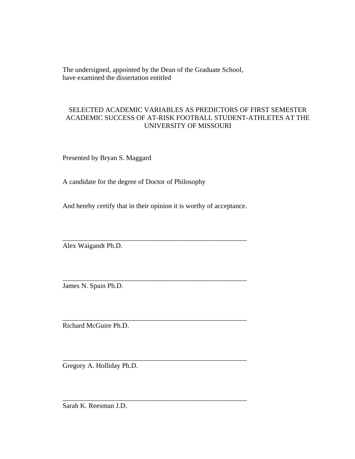The undersigned, appointed by the Dean of the Graduate School, have examined the dissertation entitled

# SELECTED ACADEMIC VARIABLES AS PREDICTORS OF FIRST SEMESTER ACADEMIC SUCCESS OF AT-RISK FOOTBALL STUDENT-ATHLETES AT THE UNIVERSITY OF MISSOURI

Presented by Bryan S. Maggard

A candidate for the degree of Doctor of Philosophy

And hereby certify that in their opinion it is worthy of acceptance.

\_\_\_\_\_\_\_\_\_\_\_\_\_\_\_\_\_\_\_\_\_\_\_\_\_\_\_\_\_\_\_\_\_\_\_\_\_\_\_\_\_\_\_\_\_\_\_\_\_\_\_\_\_

\_\_\_\_\_\_\_\_\_\_\_\_\_\_\_\_\_\_\_\_\_\_\_\_\_\_\_\_\_\_\_\_\_\_\_\_\_\_\_\_\_\_\_\_\_\_\_\_\_\_\_\_\_

\_\_\_\_\_\_\_\_\_\_\_\_\_\_\_\_\_\_\_\_\_\_\_\_\_\_\_\_\_\_\_\_\_\_\_\_\_\_\_\_\_\_\_\_\_\_\_\_\_\_\_\_\_

\_\_\_\_\_\_\_\_\_\_\_\_\_\_\_\_\_\_\_\_\_\_\_\_\_\_\_\_\_\_\_\_\_\_\_\_\_\_\_\_\_\_\_\_\_\_\_\_\_\_\_\_\_

\_\_\_\_\_\_\_\_\_\_\_\_\_\_\_\_\_\_\_\_\_\_\_\_\_\_\_\_\_\_\_\_\_\_\_\_\_\_\_\_\_\_\_\_\_\_\_\_\_\_\_\_\_

Alex Waigandt Ph.D.

James N. Spain Ph.D.

Richard McGuire Ph.D.

Gregory A. Holliday Ph.D.

Sarah K. Reesman J.D.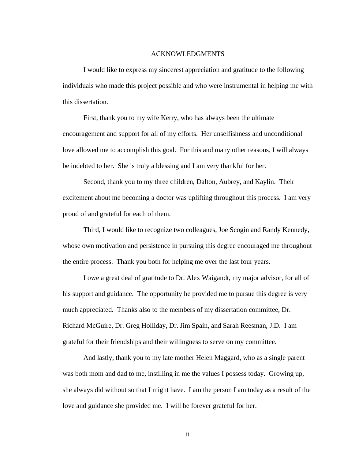#### ACKNOWLEDGMENTS

 I would like to express my sincerest appreciation and gratitude to the following individuals who made this project possible and who were instrumental in helping me with this dissertation.

 First, thank you to my wife Kerry, who has always been the ultimate encouragement and support for all of my efforts. Her unselfishness and unconditional love allowed me to accomplish this goal. For this and many other reasons, I will always be indebted to her. She is truly a blessing and I am very thankful for her.

 Second, thank you to my three children, Dalton, Aubrey, and Kaylin. Their excitement about me becoming a doctor was uplifting throughout this process. I am very proud of and grateful for each of them.

 Third, I would like to recognize two colleagues, Joe Scogin and Randy Kennedy, whose own motivation and persistence in pursuing this degree encouraged me throughout the entire process. Thank you both for helping me over the last four years.

 I owe a great deal of gratitude to Dr. Alex Waigandt, my major advisor, for all of his support and guidance. The opportunity he provided me to pursue this degree is very much appreciated. Thanks also to the members of my dissertation committee, Dr. Richard McGuire, Dr. Greg Holliday, Dr. Jim Spain, and Sarah Reesman, J.D. I am grateful for their friendships and their willingness to serve on my committee.

 And lastly, thank you to my late mother Helen Maggard, who as a single parent was both mom and dad to me, instilling in me the values I possess today. Growing up, she always did without so that I might have. I am the person I am today as a result of the love and guidance she provided me. I will be forever grateful for her.

ii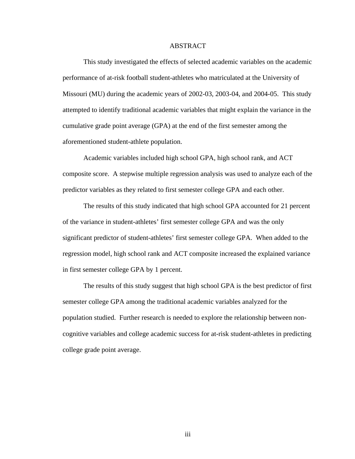#### ABSTRACT

 This study investigated the effects of selected academic variables on the academic performance of at-risk football student-athletes who matriculated at the University of Missouri (MU) during the academic years of 2002-03, 2003-04, and 2004-05. This study attempted to identify traditional academic variables that might explain the variance in the cumulative grade point average (GPA) at the end of the first semester among the aforementioned student-athlete population.

 Academic variables included high school GPA, high school rank, and ACT composite score. A stepwise multiple regression analysis was used to analyze each of the predictor variables as they related to first semester college GPA and each other.

 The results of this study indicated that high school GPA accounted for 21 percent of the variance in student-athletes' first semester college GPA and was the only significant predictor of student-athletes' first semester college GPA. When added to the regression model, high school rank and ACT composite increased the explained variance in first semester college GPA by 1 percent.

 The results of this study suggest that high school GPA is the best predictor of first semester college GPA among the traditional academic variables analyzed for the population studied. Further research is needed to explore the relationship between noncognitive variables and college academic success for at-risk student-athletes in predicting college grade point average.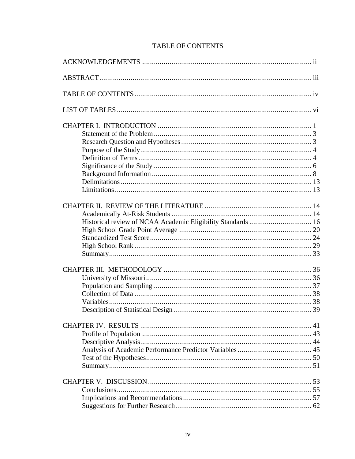# TABLE OF CONTENTS

| Historical review of NCAA Academic Eligibility Standards  16 |
|--------------------------------------------------------------|
|                                                              |
|                                                              |
|                                                              |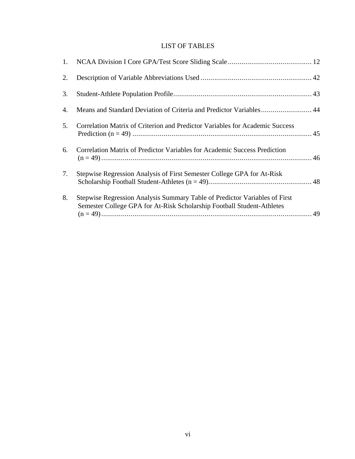# LIST OF TABLES

| 2.             |                                                                                                                                                      |  |
|----------------|------------------------------------------------------------------------------------------------------------------------------------------------------|--|
| 3.             |                                                                                                                                                      |  |
| 4.             |                                                                                                                                                      |  |
| 5 <sub>1</sub> | Correlation Matrix of Criterion and Predictor Variables for Academic Success                                                                         |  |
| 6.             | <b>Correlation Matrix of Predictor Variables for Academic Success Prediction</b>                                                                     |  |
| 7.             | Stepwise Regression Analysis of First Semester College GPA for At-Risk                                                                               |  |
| 8.             | Stepwise Regression Analysis Summary Table of Predictor Variables of First<br>Semester College GPA for At-Risk Scholarship Football Student-Athletes |  |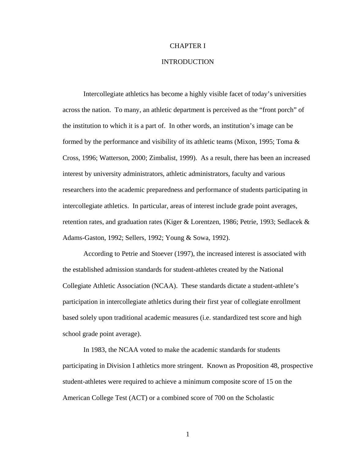#### CHAPTER I

# INTRODUCTION

 Intercollegiate athletics has become a highly visible facet of today's universities across the nation. To many, an athletic department is perceived as the "front porch" of the institution to which it is a part of. In other words, an institution's image can be formed by the performance and visibility of its athletic teams (Mixon, 1995; Toma  $\&$ Cross, 1996; Watterson, 2000; Zimbalist, 1999). As a result, there has been an increased interest by university administrators, athletic administrators, faculty and various researchers into the academic preparedness and performance of students participating in intercollegiate athletics. In particular, areas of interest include grade point averages, retention rates, and graduation rates (Kiger & Lorentzen, 1986; Petrie, 1993; Sedlacek & Adams-Gaston, 1992; Sellers, 1992; Young & Sowa, 1992).

 According to Petrie and Stoever (1997), the increased interest is associated with the established admission standards for student-athletes created by the National Collegiate Athletic Association (NCAA). These standards dictate a student-athlete's participation in intercollegiate athletics during their first year of collegiate enrollment based solely upon traditional academic measures (i.e. standardized test score and high school grade point average).

 In 1983, the NCAA voted to make the academic standards for students participating in Division I athletics more stringent. Known as Proposition 48, prospective student-athletes were required to achieve a minimum composite score of 15 on the American College Test (ACT) or a combined score of 700 on the Scholastic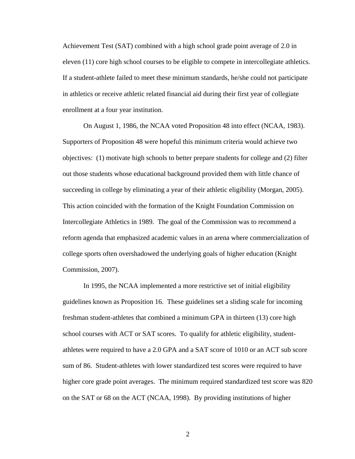Achievement Test (SAT) combined with a high school grade point average of 2.0 in eleven (11) core high school courses to be eligible to compete in intercollegiate athletics. If a student-athlete failed to meet these minimum standards, he/she could not participate in athletics or receive athletic related financial aid during their first year of collegiate enrollment at a four year institution.

 On August 1, 1986, the NCAA voted Proposition 48 into effect (NCAA, 1983). Supporters of Proposition 48 were hopeful this minimum criteria would achieve two objectives: (1) motivate high schools to better prepare students for college and (2) filter out those students whose educational background provided them with little chance of succeeding in college by eliminating a year of their athletic eligibility (Morgan, 2005). This action coincided with the formation of the Knight Foundation Commission on Intercollegiate Athletics in 1989. The goal of the Commission was to recommend a reform agenda that emphasized academic values in an arena where commercialization of college sports often overshadowed the underlying goals of higher education (Knight Commission, 2007).

 In 1995, the NCAA implemented a more restrictive set of initial eligibility guidelines known as Proposition 16. These guidelines set a sliding scale for incoming freshman student-athletes that combined a minimum GPA in thirteen (13) core high school courses with ACT or SAT scores. To qualify for athletic eligibility, studentathletes were required to have a 2.0 GPA and a SAT score of 1010 or an ACT sub score sum of 86. Student-athletes with lower standardized test scores were required to have higher core grade point averages. The minimum required standardized test score was 820 on the SAT or 68 on the ACT (NCAA, 1998). By providing institutions of higher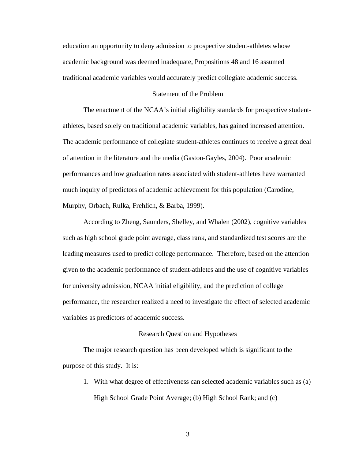education an opportunity to deny admission to prospective student-athletes whose academic background was deemed inadequate, Propositions 48 and 16 assumed traditional academic variables would accurately predict collegiate academic success.

#### Statement of the Problem

 The enactment of the NCAA's initial eligibility standards for prospective studentathletes, based solely on traditional academic variables, has gained increased attention. The academic performance of collegiate student-athletes continues to receive a great deal of attention in the literature and the media (Gaston-Gayles, 2004). Poor academic performances and low graduation rates associated with student-athletes have warranted much inquiry of predictors of academic achievement for this population (Carodine, Murphy, Orbach, Rulka, Frehlich, & Barba, 1999).

 According to Zheng, Saunders, Shelley, and Whalen (2002), cognitive variables such as high school grade point average, class rank, and standardized test scores are the leading measures used to predict college performance. Therefore, based on the attention given to the academic performance of student-athletes and the use of cognitive variables for university admission, NCAA initial eligibility, and the prediction of college performance, the researcher realized a need to investigate the effect of selected academic variables as predictors of academic success.

#### Research Question and Hypotheses

 The major research question has been developed which is significant to the purpose of this study. It is:

1. With what degree of effectiveness can selected academic variables such as (a) High School Grade Point Average; (b) High School Rank; and (c)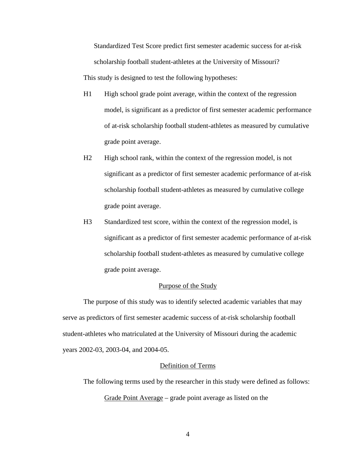Standardized Test Score predict first semester academic success for at-risk scholarship football student-athletes at the University of Missouri? This study is designed to test the following hypotheses:

- H1 High school grade point average, within the context of the regression model, is significant as a predictor of first semester academic performance of at-risk scholarship football student-athletes as measured by cumulative grade point average.
- H<sub>2</sub> High school rank, within the context of the regression model, is not significant as a predictor of first semester academic performance of at-risk scholarship football student-athletes as measured by cumulative college grade point average.
- H3 Standardized test score, within the context of the regression model, is significant as a predictor of first semester academic performance of at-risk scholarship football student-athletes as measured by cumulative college grade point average.

## Purpose of the Study

 The purpose of this study was to identify selected academic variables that may serve as predictors of first semester academic success of at-risk scholarship football student-athletes who matriculated at the University of Missouri during the academic years 2002-03, 2003-04, and 2004-05.

## Definition of Terms

 The following terms used by the researcher in this study were defined as follows: Grade Point Average – grade point average as listed on the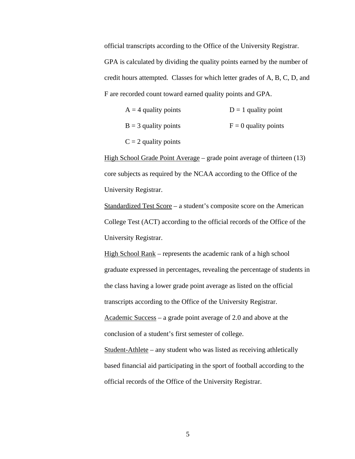official transcripts according to the Office of the University Registrar. GPA is calculated by dividing the quality points earned by the number of credit hours attempted. Classes for which letter grades of A, B, C, D, and F are recorded count toward earned quality points and GPA.

| $A = 4$ quality points | $D = 1$ quality point  |
|------------------------|------------------------|
| $B = 3$ quality points | $F = 0$ quality points |
| $C = 2$ quality points |                        |

High School Grade Point Average – grade point average of thirteen (13) core subjects as required by the NCAA according to the Office of the University Registrar.

Standardized Test Score – a student's composite score on the American College Test (ACT) according to the official records of the Office of the University Registrar.

High School Rank – represents the academic rank of a high school graduate expressed in percentages, revealing the percentage of students in the class having a lower grade point average as listed on the official transcripts according to the Office of the University Registrar. Academic Success – a grade point average of 2.0 and above at the conclusion of a student's first semester of college. Student-Athlete – any student who was listed as receiving athletically

based financial aid participating in the sport of football according to the official records of the Office of the University Registrar.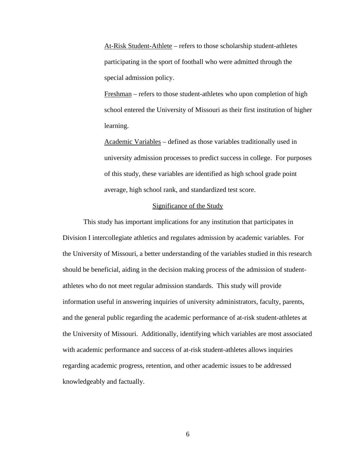At-Risk Student-Athlete – refers to those scholarship student-athletes participating in the sport of football who were admitted through the special admission policy.

Freshman – refers to those student-athletes who upon completion of high school entered the University of Missouri as their first institution of higher learning.

Academic Variables – defined as those variables traditionally used in university admission processes to predict success in college. For purposes of this study, these variables are identified as high school grade point average, high school rank, and standardized test score.

#### Significance of the Study

 This study has important implications for any institution that participates in Division I intercollegiate athletics and regulates admission by academic variables. For the University of Missouri, a better understanding of the variables studied in this research should be beneficial, aiding in the decision making process of the admission of studentathletes who do not meet regular admission standards. This study will provide information useful in answering inquiries of university administrators, faculty, parents, and the general public regarding the academic performance of at-risk student-athletes at the University of Missouri. Additionally, identifying which variables are most associated with academic performance and success of at-risk student-athletes allows inquiries regarding academic progress, retention, and other academic issues to be addressed knowledgeably and factually.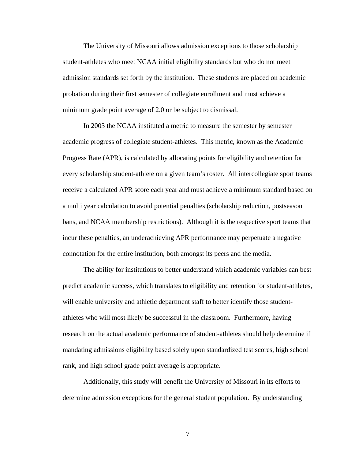The University of Missouri allows admission exceptions to those scholarship student-athletes who meet NCAA initial eligibility standards but who do not meet admission standards set forth by the institution. These students are placed on academic probation during their first semester of collegiate enrollment and must achieve a minimum grade point average of 2.0 or be subject to dismissal.

 In 2003 the NCAA instituted a metric to measure the semester by semester academic progress of collegiate student-athletes. This metric, known as the Academic Progress Rate (APR), is calculated by allocating points for eligibility and retention for every scholarship student-athlete on a given team's roster. All intercollegiate sport teams receive a calculated APR score each year and must achieve a minimum standard based on a multi year calculation to avoid potential penalties (scholarship reduction, postseason bans, and NCAA membership restrictions). Although it is the respective sport teams that incur these penalties, an underachieving APR performance may perpetuate a negative connotation for the entire institution, both amongst its peers and the media.

The ability for institutions to better understand which academic variables can best predict academic success, which translates to eligibility and retention for student-athletes, will enable university and athletic department staff to better identify those studentathletes who will most likely be successful in the classroom. Furthermore, having research on the actual academic performance of student-athletes should help determine if mandating admissions eligibility based solely upon standardized test scores, high school rank, and high school grade point average is appropriate.

Additionally, this study will benefit the University of Missouri in its efforts to determine admission exceptions for the general student population. By understanding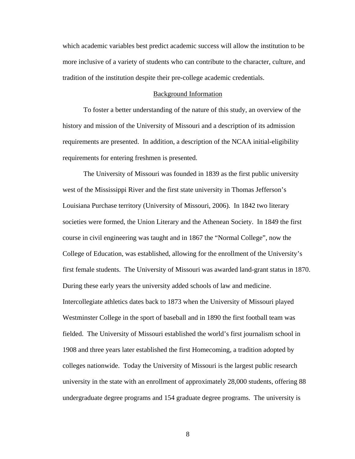which academic variables best predict academic success will allow the institution to be more inclusive of a variety of students who can contribute to the character, culture, and tradition of the institution despite their pre-college academic credentials.

#### Background Information

To foster a better understanding of the nature of this study, an overview of the history and mission of the University of Missouri and a description of its admission requirements are presented. In addition, a description of the NCAA initial-eligibility requirements for entering freshmen is presented.

The University of Missouri was founded in 1839 as the first public university west of the Mississippi River and the first state university in Thomas Jefferson's Louisiana Purchase territory (University of Missouri, 2006). In 1842 two literary societies were formed, the Union Literary and the Athenean Society. In 1849 the first course in civil engineering was taught and in 1867 the "Normal College", now the College of Education, was established, allowing for the enrollment of the University's first female students. The University of Missouri was awarded land-grant status in 1870. During these early years the university added schools of law and medicine. Intercollegiate athletics dates back to 1873 when the University of Missouri played Westminster College in the sport of baseball and in 1890 the first football team was fielded. The University of Missouri established the world's first journalism school in 1908 and three years later established the first Homecoming, a tradition adopted by colleges nationwide. Today the University of Missouri is the largest public research university in the state with an enrollment of approximately 28,000 students, offering 88 undergraduate degree programs and 154 graduate degree programs. The university is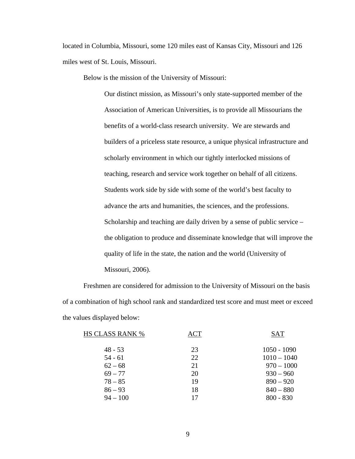located in Columbia, Missouri, some 120 miles east of Kansas City, Missouri and 126 miles west of St. Louis, Missouri.

Below is the mission of the University of Missouri:

Our distinct mission, as Missouri's only state-supported member of the Association of American Universities, is to provide all Missourians the benefits of a world-class research university. We are stewards and builders of a priceless state resource, a unique physical infrastructure and scholarly environment in which our tightly interlocked missions of teaching, research and service work together on behalf of all citizens. Students work side by side with some of the world's best faculty to advance the arts and humanities, the sciences, and the professions. Scholarship and teaching are daily driven by a sense of public service – the obligation to produce and disseminate knowledge that will improve the quality of life in the state, the nation and the world (University of Missouri, 2006).

 Freshmen are considered for admission to the University of Missouri on the basis of a combination of high school rank and standardized test score and must meet or exceed the values displayed below:

| <b>HS CLASS RANK %</b> | <b>ACT</b> | <b>SAT</b>    |
|------------------------|------------|---------------|
| $48 - 53$              | 23         | $1050 - 1090$ |
| $54 - 61$              | 22         | $1010 - 1040$ |
| $62 - 68$              | 21         | $970 - 1000$  |
| $69 - 77$              | 20         | $930 - 960$   |
| $78 - 85$              | 19         | $890 - 920$   |
| $86 - 93$              | 18         | $840 - 880$   |
| $94 - 100$             | 17         | $800 - 830$   |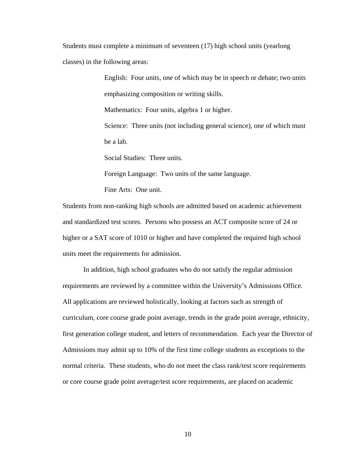Students must complete a minimum of seventeen (17) high school units (yearlong classes) in the following areas:

> English: Four units, one of which may be in speech or debate; two units emphasizing composition or writing skills. Mathematics: Four units, algebra 1 or higher. Science: Three units (not including general science), one of which must be a lab.

Social Studies: Three units.

Foreign Language: Two units of the same language.

Fine Arts: One unit.

Students from non-ranking high schools are admitted based on academic achievement and standardized test scores. Persons who possess an ACT composite score of 24 or higher or a SAT score of 1010 or higher and have completed the required high school units meet the requirements for admission.

 In addition, high school graduates who do not satisfy the regular admission requirements are reviewed by a committee within the University's Admissions Office. All applications are reviewed holistically, looking at factors such as strength of curriculum, core course grade point average, trends in the grade point average, ethnicity, first generation college student, and letters of recommendation. Each year the Director of Admissions may admit up to 10% of the first time college students as exceptions to the normal criteria. These students, who do not meet the class rank/test score requirements or core course grade point average/test score requirements, are placed on academic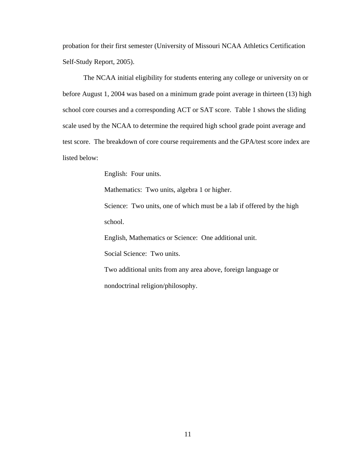probation for their first semester (University of Missouri NCAA Athletics Certification Self-Study Report, 2005).

 The NCAA initial eligibility for students entering any college or university on or before August 1, 2004 was based on a minimum grade point average in thirteen (13) high school core courses and a corresponding ACT or SAT score. Table 1 shows the sliding scale used by the NCAA to determine the required high school grade point average and test score. The breakdown of core course requirements and the GPA/test score index are listed below:

English: Four units.

Mathematics: Two units, algebra 1 or higher.

Science: Two units, one of which must be a lab if offered by the high school.

English, Mathematics or Science: One additional unit.

Social Science: Two units.

Two additional units from any area above, foreign language or nondoctrinal religion/philosophy.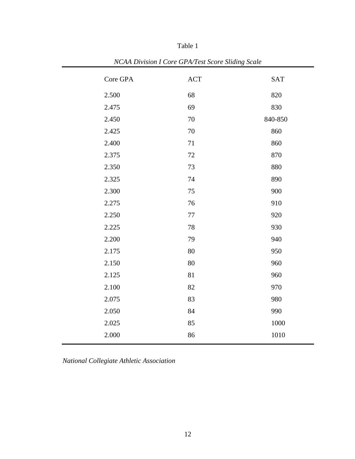| <i>Example is core</i> of the rest secret shairs<br><i>s</i> calc |          |            |            |
|-------------------------------------------------------------------|----------|------------|------------|
|                                                                   | Core GPA | <b>ACT</b> | <b>SAT</b> |
|                                                                   | 2.500    | 68         | 820        |
|                                                                   | 2.475    | 69         | 830        |
|                                                                   | 2.450    | 70         | 840-850    |
|                                                                   | 2.425    | 70         | 860        |
|                                                                   | 2.400    | 71         | 860        |
|                                                                   | 2.375    | 72         | 870        |
|                                                                   | 2.350    | 73         | 880        |
|                                                                   | 2.325    | 74         | 890        |
|                                                                   | 2.300    | 75         | 900        |
|                                                                   | 2.275    | 76         | 910        |
|                                                                   | 2.250    | 77         | 920        |
|                                                                   | 2.225    | 78         | 930        |
|                                                                   | 2.200    | 79         | 940        |
|                                                                   | 2.175    | 80         | 950        |
|                                                                   | 2.150    | 80         | 960        |
|                                                                   | 2.125    | 81         | 960        |
|                                                                   | 2.100    | 82         | 970        |
|                                                                   | 2.075    | 83         | 980        |
|                                                                   | 2.050    | 84         | 990        |
|                                                                   | 2.025    | 85         | $1000\,$   |
|                                                                   | 2.000    | 86         | 1010       |
|                                                                   |          |            |            |

Table 1

*NCAA Division I Core GPA/Test Score Sliding Scale* 

*National Collegiate Athletic Association*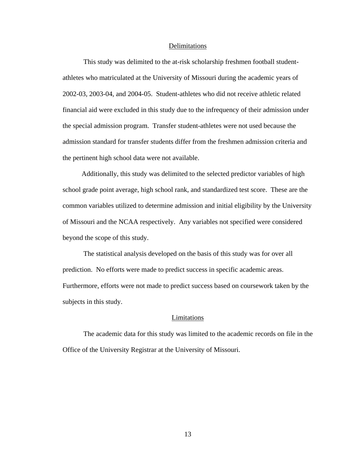#### Delimitations

This study was delimited to the at-risk scholarship freshmen football studentathletes who matriculated at the University of Missouri during the academic years of 2002-03, 2003-04, and 2004-05. Student-athletes who did not receive athletic related financial aid were excluded in this study due to the infrequency of their admission under the special admission program. Transfer student-athletes were not used because the admission standard for transfer students differ from the freshmen admission criteria and the pertinent high school data were not available.

 Additionally, this study was delimited to the selected predictor variables of high school grade point average, high school rank, and standardized test score. These are the common variables utilized to determine admission and initial eligibility by the University of Missouri and the NCAA respectively. Any variables not specified were considered beyond the scope of this study.

 The statistical analysis developed on the basis of this study was for over all prediction. No efforts were made to predict success in specific academic areas. Furthermore, efforts were not made to predict success based on coursework taken by the subjects in this study.

#### Limitations

 The academic data for this study was limited to the academic records on file in the Office of the University Registrar at the University of Missouri.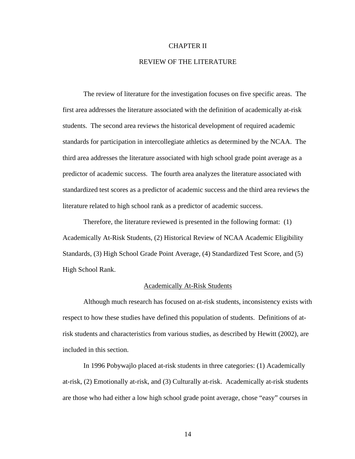#### CHAPTER II

## REVIEW OF THE LITERATURE

 The review of literature for the investigation focuses on five specific areas. The first area addresses the literature associated with the definition of academically at-risk students. The second area reviews the historical development of required academic standards for participation in intercollegiate athletics as determined by the NCAA. The third area addresses the literature associated with high school grade point average as a predictor of academic success. The fourth area analyzes the literature associated with standardized test scores as a predictor of academic success and the third area reviews the literature related to high school rank as a predictor of academic success.

 Therefore, the literature reviewed is presented in the following format: (1) Academically At-Risk Students, (2) Historical Review of NCAA Academic Eligibility Standards, (3) High School Grade Point Average, (4) Standardized Test Score, and (5) High School Rank.

#### Academically At-Risk Students

 Although much research has focused on at-risk students, inconsistency exists with respect to how these studies have defined this population of students. Definitions of atrisk students and characteristics from various studies, as described by Hewitt (2002), are included in this section.

 In 1996 Pobywajlo placed at-risk students in three categories: (1) Academically at-risk, (2) Emotionally at-risk, and (3) Culturally at-risk. Academically at-risk students are those who had either a low high school grade point average, chose "easy" courses in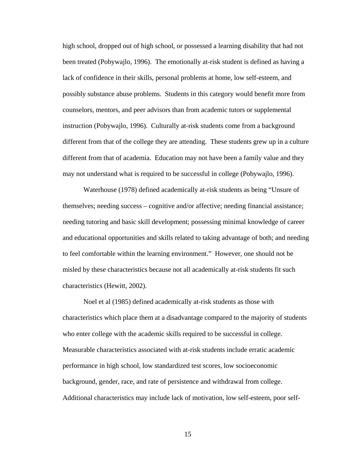high school, dropped out of high school, or possessed a learning disability that had not been treated (Pobywajlo, 1996). The emotionally at-risk student is defined as having a lack of confidence in their skills, personal problems at home, low self-esteem, and possibly substance abuse problems. Students in this category would benefit more from counselors, mentors, and peer advisors than from academic tutors or supplemental instruction (Pobywajlo, 1996). Culturally at-risk students come from a background different from that of the college they are attending. These students grew up in a culture different from that of academia. Education may not have been a family value and they may not understand what is required to be successful in college (Pobywajlo, 1996).

 Waterhouse (1978) defined academically at-risk students as being "Unsure of themselves; needing success – cognitive and/or affective; needing financial assistance; needing tutoring and basic skill development; possessing minimal knowledge of career and educational opportunities and skills related to taking advantage of both; and needing to feel comfortable within the learning environment." However, one should not be misled by these characteristics because not all academically at-risk students fit such characteristics (Hewitt, 2002).

 Noel et al (1985) defined academically at-risk students as those with characteristics which place them at a disadvantage compared to the majority of students who enter college with the academic skills required to be successful in college. Measurable characteristics associated with at-risk students include erratic academic performance in high school, low standardized test scores, low socioeconomic background, gender, race, and rate of persistence and withdrawal from college. Additional characteristics may include lack of motivation, low self-esteem, poor self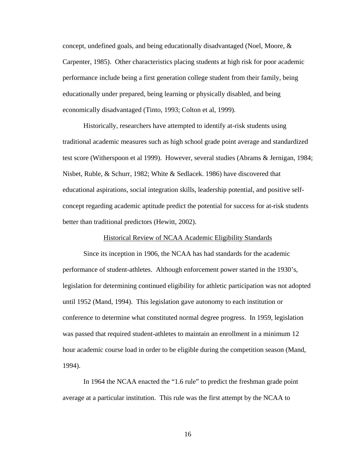concept, undefined goals, and being educationally disadvantaged (Noel, Moore, & Carpenter, 1985). Other characteristics placing students at high risk for poor academic performance include being a first generation college student from their family, being educationally under prepared, being learning or physically disabled, and being economically disadvantaged (Tinto, 1993; Colton et al, 1999).

 Historically, researchers have attempted to identify at-risk students using traditional academic measures such as high school grade point average and standardized test score (Witherspoon et al 1999). However, several studies (Abrams & Jernigan, 1984; Nisbet, Ruble, & Schurr, 1982; White & Sedlacek. 1986) have discovered that educational aspirations, social integration skills, leadership potential, and positive selfconcept regarding academic aptitude predict the potential for success for at-risk students better than traditional predictors (Hewitt, 2002).

### Historical Review of NCAA Academic Eligibility Standards

 Since its inception in 1906, the NCAA has had standards for the academic performance of student-athletes. Although enforcement power started in the 1930's, legislation for determining continued eligibility for athletic participation was not adopted until 1952 (Mand, 1994). This legislation gave autonomy to each institution or conference to determine what constituted normal degree progress. In 1959, legislation was passed that required student-athletes to maintain an enrollment in a minimum 12 hour academic course load in order to be eligible during the competition season (Mand, 1994).

 In 1964 the NCAA enacted the "1.6 rule" to predict the freshman grade point average at a particular institution. This rule was the first attempt by the NCAA to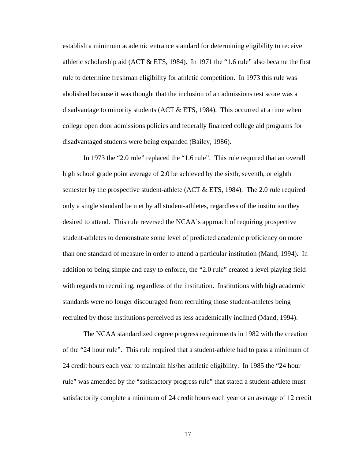establish a minimum academic entrance standard for determining eligibility to receive athletic scholarship aid (ACT  $&ETS$ , 1984). In 1971 the "1.6 rule" also became the first rule to determine freshman eligibility for athletic competition. In 1973 this rule was abolished because it was thought that the inclusion of an admissions test score was a disadvantage to minority students (ACT & ETS, 1984). This occurred at a time when college open door admissions policies and federally financed college aid programs for disadvantaged students were being expanded (Bailey, 1986).

 In 1973 the "2.0 rule" replaced the "1.6 rule". This rule required that an overall high school grade point average of 2.0 be achieved by the sixth, seventh, or eighth semester by the prospective student-athlete (ACT  $\&$  ETS, 1984). The 2.0 rule required only a single standard be met by all student-athletes, regardless of the institution they desired to attend. This rule reversed the NCAA's approach of requiring prospective student-athletes to demonstrate some level of predicted academic proficiency on more than one standard of measure in order to attend a particular institution (Mand, 1994). In addition to being simple and easy to enforce, the "2.0 rule" created a level playing field with regards to recruiting, regardless of the institution. Institutions with high academic standards were no longer discouraged from recruiting those student-athletes being recruited by those institutions perceived as less academically inclined (Mand, 1994).

 The NCAA standardized degree progress requirements in 1982 with the creation of the "24 hour rule". This rule required that a student-athlete had to pass a minimum of 24 credit hours each year to maintain his/her athletic eligibility. In 1985 the "24 hour rule" was amended by the "satisfactory progress rule" that stated a student-athlete must satisfactorily complete a minimum of 24 credit hours each year or an average of 12 credit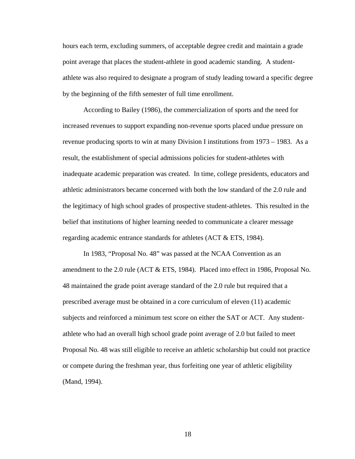hours each term, excluding summers, of acceptable degree credit and maintain a grade point average that places the student-athlete in good academic standing. A studentathlete was also required to designate a program of study leading toward a specific degree by the beginning of the fifth semester of full time enrollment.

 According to Bailey (1986), the commercialization of sports and the need for increased revenues to support expanding non-revenue sports placed undue pressure on revenue producing sports to win at many Division I institutions from 1973 – 1983. As a result, the establishment of special admissions policies for student-athletes with inadequate academic preparation was created. In time, college presidents, educators and athletic administrators became concerned with both the low standard of the 2.0 rule and the legitimacy of high school grades of prospective student-athletes. This resulted in the belief that institutions of higher learning needed to communicate a clearer message regarding academic entrance standards for athletes (ACT & ETS, 1984).

 In 1983, "Proposal No. 48" was passed at the NCAA Convention as an amendment to the 2.0 rule (ACT & ETS, 1984). Placed into effect in 1986, Proposal No. 48 maintained the grade point average standard of the 2.0 rule but required that a prescribed average must be obtained in a core curriculum of eleven (11) academic subjects and reinforced a minimum test score on either the SAT or ACT. Any studentathlete who had an overall high school grade point average of 2.0 but failed to meet Proposal No. 48 was still eligible to receive an athletic scholarship but could not practice or compete during the freshman year, thus forfeiting one year of athletic eligibility (Mand, 1994).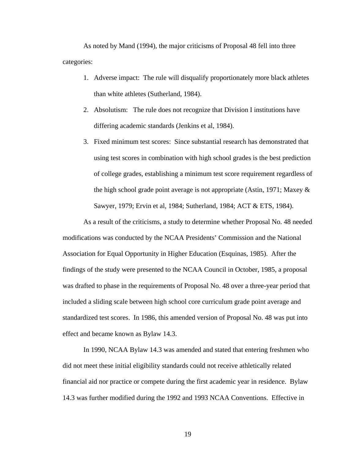As noted by Mand (1994), the major criticisms of Proposal 48 fell into three categories:

- 1. Adverse impact: The rule will disqualify proportionately more black athletes than white athletes (Sutherland, 1984).
- 2. Absolutism: The rule does not recognize that Division I institutions have differing academic standards (Jenkins et al, 1984).
- 3. Fixed minimum test scores: Since substantial research has demonstrated that using test scores in combination with high school grades is the best prediction of college grades, establishing a minimum test score requirement regardless of the high school grade point average is not appropriate (Astin, 1971; Maxey & Sawyer, 1979; Ervin et al, 1984; Sutherland, 1984; ACT & ETS, 1984).

As a result of the criticisms, a study to determine whether Proposal No. 48 needed modifications was conducted by the NCAA Presidents' Commission and the National Association for Equal Opportunity in Higher Education (Esquinas, 1985). After the findings of the study were presented to the NCAA Council in October, 1985, a proposal was drafted to phase in the requirements of Proposal No. 48 over a three-year period that included a sliding scale between high school core curriculum grade point average and standardized test scores. In 1986, this amended version of Proposal No. 48 was put into effect and became known as Bylaw 14.3.

In 1990, NCAA Bylaw 14.3 was amended and stated that entering freshmen who did not meet these initial eligibility standards could not receive athletically related financial aid nor practice or compete during the first academic year in residence. Bylaw 14.3 was further modified during the 1992 and 1993 NCAA Conventions. Effective in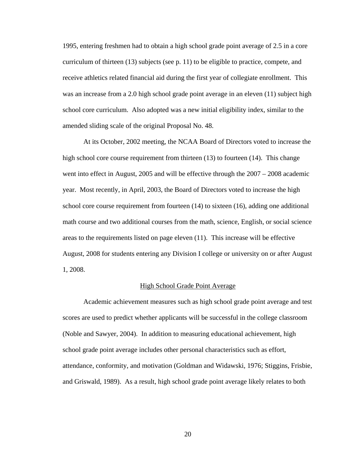1995, entering freshmen had to obtain a high school grade point average of 2.5 in a core curriculum of thirteen (13) subjects (see p. 11) to be eligible to practice, compete, and receive athletics related financial aid during the first year of collegiate enrollment. This was an increase from a 2.0 high school grade point average in an eleven (11) subject high school core curriculum. Also adopted was a new initial eligibility index, similar to the amended sliding scale of the original Proposal No. 48.

At its October, 2002 meeting, the NCAA Board of Directors voted to increase the high school core course requirement from thirteen (13) to fourteen (14). This change went into effect in August, 2005 and will be effective through the 2007 – 2008 academic year. Most recently, in April, 2003, the Board of Directors voted to increase the high school core course requirement from fourteen (14) to sixteen (16), adding one additional math course and two additional courses from the math, science, English, or social science areas to the requirements listed on page eleven (11). This increase will be effective August, 2008 for students entering any Division I college or university on or after August 1, 2008.

#### High School Grade Point Average

 Academic achievement measures such as high school grade point average and test scores are used to predict whether applicants will be successful in the college classroom (Noble and Sawyer, 2004). In addition to measuring educational achievement, high school grade point average includes other personal characteristics such as effort, attendance, conformity, and motivation (Goldman and Widawski, 1976; Stiggins, Frisbie, and Griswald, 1989). As a result, high school grade point average likely relates to both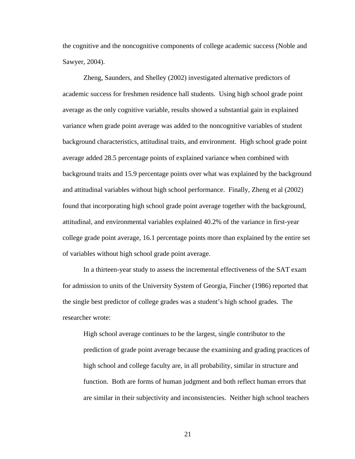the cognitive and the noncognitive components of college academic success (Noble and Sawyer, 2004).

 Zheng, Saunders, and Shelley (2002) investigated alternative predictors of academic success for freshmen residence hall students. Using high school grade point average as the only cognitive variable, results showed a substantial gain in explained variance when grade point average was added to the noncognitive variables of student background characteristics, attitudinal traits, and environment. High school grade point average added 28.5 percentage points of explained variance when combined with background traits and 15.9 percentage points over what was explained by the background and attitudinal variables without high school performance. Finally, Zheng et al (2002) found that incorporating high school grade point average together with the background, attitudinal, and environmental variables explained 40.2% of the variance in first-year college grade point average, 16.1 percentage points more than explained by the entire set of variables without high school grade point average.

 In a thirteen-year study to assess the incremental effectiveness of the SAT exam for admission to units of the University System of Georgia, Fincher (1986) reported that the single best predictor of college grades was a student's high school grades. The researcher wrote:

High school average continues to be the largest, single contributor to the prediction of grade point average because the examining and grading practices of high school and college faculty are, in all probability, similar in structure and function. Both are forms of human judgment and both reflect human errors that are similar in their subjectivity and inconsistencies. Neither high school teachers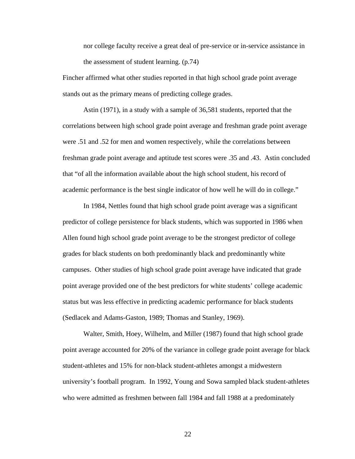nor college faculty receive a great deal of pre-service or in-service assistance in the assessment of student learning. (p.74)

Fincher affirmed what other studies reported in that high school grade point average stands out as the primary means of predicting college grades.

 Astin (1971), in a study with a sample of 36,581 students, reported that the correlations between high school grade point average and freshman grade point average were .51 and .52 for men and women respectively, while the correlations between freshman grade point average and aptitude test scores were .35 and .43. Astin concluded that "of all the information available about the high school student, his record of academic performance is the best single indicator of how well he will do in college."

 In 1984, Nettles found that high school grade point average was a significant predictor of college persistence for black students, which was supported in 1986 when Allen found high school grade point average to be the strongest predictor of college grades for black students on both predominantly black and predominantly white campuses. Other studies of high school grade point average have indicated that grade point average provided one of the best predictors for white students' college academic status but was less effective in predicting academic performance for black students (Sedlacek and Adams-Gaston, 1989; Thomas and Stanley, 1969).

 Walter, Smith, Hoey, Wilhelm, and Miller (1987) found that high school grade point average accounted for 20% of the variance in college grade point average for black student-athletes and 15% for non-black student-athletes amongst a midwestern university's football program. In 1992, Young and Sowa sampled black student-athletes who were admitted as freshmen between fall 1984 and fall 1988 at a predominately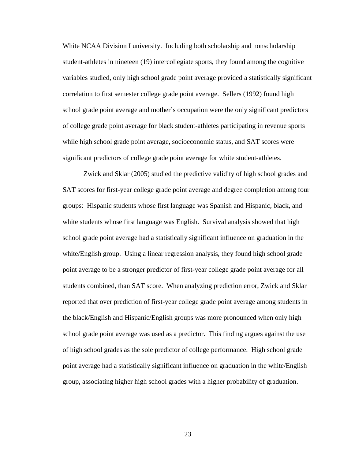White NCAA Division I university. Including both scholarship and nonscholarship student-athletes in nineteen (19) intercollegiate sports, they found among the cognitive variables studied, only high school grade point average provided a statistically significant correlation to first semester college grade point average. Sellers (1992) found high school grade point average and mother's occupation were the only significant predictors of college grade point average for black student-athletes participating in revenue sports while high school grade point average, socioeconomic status, and SAT scores were significant predictors of college grade point average for white student-athletes.

 Zwick and Sklar (2005) studied the predictive validity of high school grades and SAT scores for first-year college grade point average and degree completion among four groups: Hispanic students whose first language was Spanish and Hispanic, black, and white students whose first language was English. Survival analysis showed that high school grade point average had a statistically significant influence on graduation in the white/English group. Using a linear regression analysis, they found high school grade point average to be a stronger predictor of first-year college grade point average for all students combined, than SAT score. When analyzing prediction error, Zwick and Sklar reported that over prediction of first-year college grade point average among students in the black/English and Hispanic/English groups was more pronounced when only high school grade point average was used as a predictor. This finding argues against the use of high school grades as the sole predictor of college performance. High school grade point average had a statistically significant influence on graduation in the white/English group, associating higher high school grades with a higher probability of graduation.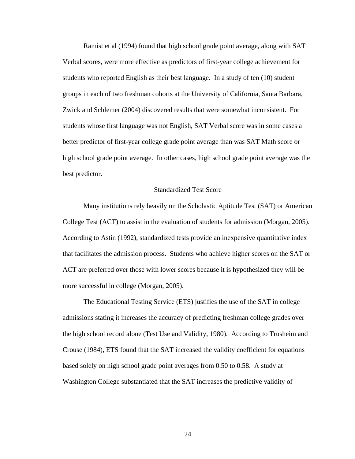Ramist et al (1994) found that high school grade point average, along with SAT Verbal scores, were more effective as predictors of first-year college achievement for students who reported English as their best language. In a study of ten (10) student groups in each of two freshman cohorts at the University of California, Santa Barbara, Zwick and Schlemer (2004) discovered results that were somewhat inconsistent. For students whose first language was not English, SAT Verbal score was in some cases a better predictor of first-year college grade point average than was SAT Math score or high school grade point average. In other cases, high school grade point average was the best predictor.

#### Standardized Test Score

 Many institutions rely heavily on the Scholastic Aptitude Test (SAT) or American College Test (ACT) to assist in the evaluation of students for admission (Morgan, 2005). According to Astin (1992), standardized tests provide an inexpensive quantitative index that facilitates the admission process. Students who achieve higher scores on the SAT or ACT are preferred over those with lower scores because it is hypothesized they will be more successful in college (Morgan, 2005).

 The Educational Testing Service (ETS) justifies the use of the SAT in college admissions stating it increases the accuracy of predicting freshman college grades over the high school record alone (Test Use and Validity, 1980). According to Trusheim and Crouse (1984), ETS found that the SAT increased the validity coefficient for equations based solely on high school grade point averages from 0.50 to 0.58. A study at Washington College substantiated that the SAT increases the predictive validity of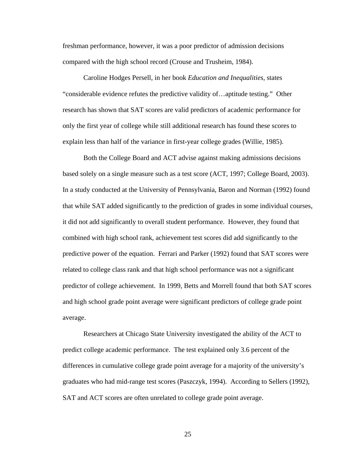freshman performance, however, it was a poor predictor of admission decisions compared with the high school record (Crouse and Trusheim, 1984).

 Caroline Hodges Persell, in her book *Education and Inequalities*, states "considerable evidence refutes the predictive validity of…aptitude testing." Other research has shown that SAT scores are valid predictors of academic performance for only the first year of college while still additional research has found these scores to explain less than half of the variance in first-year college grades (Willie, 1985).

 Both the College Board and ACT advise against making admissions decisions based solely on a single measure such as a test score (ACT, 1997; College Board, 2003). In a study conducted at the University of Pennsylvania, Baron and Norman (1992) found that while SAT added significantly to the prediction of grades in some individual courses, it did not add significantly to overall student performance. However, they found that combined with high school rank, achievement test scores did add significantly to the predictive power of the equation. Ferrari and Parker (1992) found that SAT scores were related to college class rank and that high school performance was not a significant predictor of college achievement. In 1999, Betts and Morrell found that both SAT scores and high school grade point average were significant predictors of college grade point average.

 Researchers at Chicago State University investigated the ability of the ACT to predict college academic performance. The test explained only 3.6 percent of the differences in cumulative college grade point average for a majority of the university's graduates who had mid-range test scores (Paszczyk, 1994). According to Sellers (1992), SAT and ACT scores are often unrelated to college grade point average.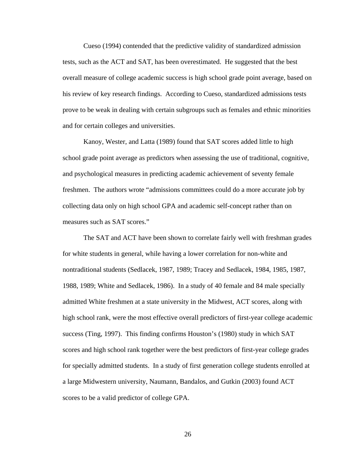Cueso (1994) contended that the predictive validity of standardized admission tests, such as the ACT and SAT, has been overestimated. He suggested that the best overall measure of college academic success is high school grade point average, based on his review of key research findings. According to Cueso, standardized admissions tests prove to be weak in dealing with certain subgroups such as females and ethnic minorities and for certain colleges and universities.

 Kanoy, Wester, and Latta (1989) found that SAT scores added little to high school grade point average as predictors when assessing the use of traditional, cognitive, and psychological measures in predicting academic achievement of seventy female freshmen. The authors wrote "admissions committees could do a more accurate job by collecting data only on high school GPA and academic self-concept rather than on measures such as SAT scores."

 The SAT and ACT have been shown to correlate fairly well with freshman grades for white students in general, while having a lower correlation for non-white and nontraditional students (Sedlacek, 1987, 1989; Tracey and Sedlacek, 1984, 1985, 1987, 1988, 1989; White and Sedlacek, 1986). In a study of 40 female and 84 male specially admitted White freshmen at a state university in the Midwest, ACT scores, along with high school rank, were the most effective overall predictors of first-year college academic success (Ting, 1997). This finding confirms Houston's (1980) study in which SAT scores and high school rank together were the best predictors of first-year college grades for specially admitted students. In a study of first generation college students enrolled at a large Midwestern university, Naumann, Bandalos, and Gutkin (2003) found ACT scores to be a valid predictor of college GPA.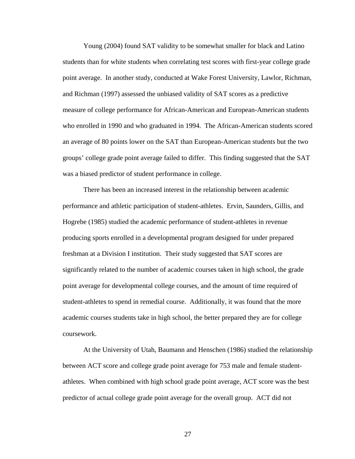Young (2004) found SAT validity to be somewhat smaller for black and Latino students than for white students when correlating test scores with first-year college grade point average. In another study, conducted at Wake Forest University, Lawlor, Richman, and Richman (1997) assessed the unbiased validity of SAT scores as a predictive measure of college performance for African-American and European-American students who enrolled in 1990 and who graduated in 1994. The African-American students scored an average of 80 points lower on the SAT than European-American students but the two groups' college grade point average failed to differ. This finding suggested that the SAT was a biased predictor of student performance in college.

 There has been an increased interest in the relationship between academic performance and athletic participation of student-athletes. Ervin, Saunders, Gillis, and Hogrebe (1985) studied the academic performance of student-athletes in revenue producing sports enrolled in a developmental program designed for under prepared freshman at a Division I institution. Their study suggested that SAT scores are significantly related to the number of academic courses taken in high school, the grade point average for developmental college courses, and the amount of time required of student-athletes to spend in remedial course. Additionally, it was found that the more academic courses students take in high school, the better prepared they are for college coursework.

 At the University of Utah, Baumann and Henschen (1986) studied the relationship between ACT score and college grade point average for 753 male and female studentathletes. When combined with high school grade point average, ACT score was the best predictor of actual college grade point average for the overall group. ACT did not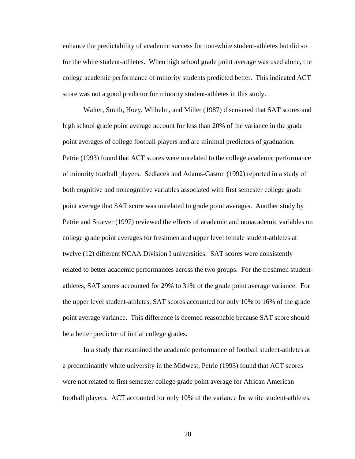enhance the predictability of academic success for non-white student-athletes but did so for the white student-athletes. When high school grade point average was used alone, the college academic performance of minority students predicted better. This indicated ACT score was not a good predictor for minority student-athletes in this study.

 Walter, Smith, Hoey, Wilhelm, and Miller (1987) discovered that SAT scores and high school grade point average account for less than 20% of the variance in the grade point averages of college football players and are minimal predictors of graduation. Petrie (1993) found that ACT scores were unrelated to the college academic performance of minority football players. Sedlacek and Adams-Gaston (1992) reported in a study of both cognitive and noncognitive variables associated with first semester college grade point average that SAT score was unrelated to grade point averages. Another study by Petrie and Stoever (1997) reviewed the effects of academic and nonacademic variables on college grade point averages for freshmen and upper level female student-athletes at twelve (12) different NCAA Division I universities. SAT scores were consistently related to better academic performances across the two groups. For the freshmen studentathletes, SAT scores accounted for 29% to 31% of the grade point average variance. For the upper level student-athletes, SAT scores accounted for only 10% to 16% of the grade point average variance. This difference is deemed reasonable because SAT score should be a better predictor of initial college grades.

 In a study that examined the academic performance of football student-athletes at a predominantly white university in the Midwest, Petrie (1993) found that ACT scores were not related to first semester college grade point average for African American football players. ACT accounted for only 10% of the variance for white student-athletes.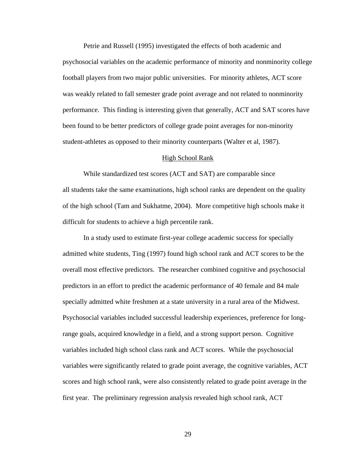Petrie and Russell (1995) investigated the effects of both academic and psychosocial variables on the academic performance of minority and nonminority college football players from two major public universities. For minority athletes, ACT score was weakly related to fall semester grade point average and not related to nonminority performance. This finding is interesting given that generally, ACT and SAT scores have been found to be better predictors of college grade point averages for non-minority student-athletes as opposed to their minority counterparts (Walter et al, 1987).

#### High School Rank

While standardized test scores (ACT and SAT) are comparable since all students take the same examinations, high school ranks are dependent on the quality of the high school (Tam and Sukhatme, 2004). More competitive high schools make it difficult for students to achieve a high percentile rank.

In a study used to estimate first-year college academic success for specially admitted white students, Ting (1997) found high school rank and ACT scores to be the overall most effective predictors. The researcher combined cognitive and psychosocial predictors in an effort to predict the academic performance of 40 female and 84 male specially admitted white freshmen at a state university in a rural area of the Midwest. Psychosocial variables included successful leadership experiences, preference for longrange goals, acquired knowledge in a field, and a strong support person. Cognitive variables included high school class rank and ACT scores. While the psychosocial variables were significantly related to grade point average, the cognitive variables, ACT scores and high school rank, were also consistently related to grade point average in the first year. The preliminary regression analysis revealed high school rank, ACT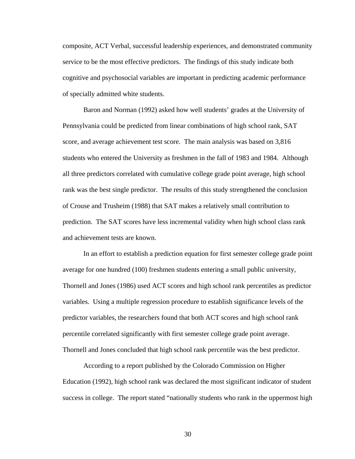composite, ACT Verbal, successful leadership experiences, and demonstrated community service to be the most effective predictors. The findings of this study indicate both cognitive and psychosocial variables are important in predicting academic performance of specially admitted white students.

Baron and Norman (1992) asked how well students' grades at the University of Pennsylvania could be predicted from linear combinations of high school rank, SAT score, and average achievement test score. The main analysis was based on 3,816 students who entered the University as freshmen in the fall of 1983 and 1984. Although all three predictors correlated with cumulative college grade point average, high school rank was the best single predictor. The results of this study strengthened the conclusion of Crouse and Trusheim (1988) that SAT makes a relatively small contribution to prediction. The SAT scores have less incremental validity when high school class rank and achievement tests are known.

In an effort to establish a prediction equation for first semester college grade point average for one hundred (100) freshmen students entering a small public university, Thornell and Jones (1986) used ACT scores and high school rank percentiles as predictor variables. Using a multiple regression procedure to establish significance levels of the predictor variables, the researchers found that both ACT scores and high school rank percentile correlated significantly with first semester college grade point average. Thornell and Jones concluded that high school rank percentile was the best predictor.

According to a report published by the Colorado Commission on Higher Education (1992), high school rank was declared the most significant indicator of student success in college. The report stated "nationally students who rank in the uppermost high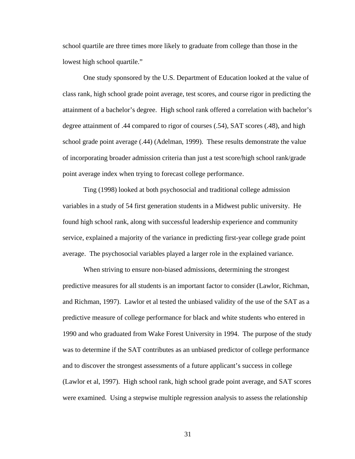school quartile are three times more likely to graduate from college than those in the lowest high school quartile."

One study sponsored by the U.S. Department of Education looked at the value of class rank, high school grade point average, test scores, and course rigor in predicting the attainment of a bachelor's degree. High school rank offered a correlation with bachelor's degree attainment of .44 compared to rigor of courses (.54), SAT scores (.48), and high school grade point average (.44) (Adelman, 1999). These results demonstrate the value of incorporating broader admission criteria than just a test score/high school rank/grade point average index when trying to forecast college performance.

Ting (1998) looked at both psychosocial and traditional college admission variables in a study of 54 first generation students in a Midwest public university. He found high school rank, along with successful leadership experience and community service, explained a majority of the variance in predicting first-year college grade point average. The psychosocial variables played a larger role in the explained variance.

When striving to ensure non-biased admissions, determining the strongest predictive measures for all students is an important factor to consider (Lawlor, Richman, and Richman, 1997). Lawlor et al tested the unbiased validity of the use of the SAT as a predictive measure of college performance for black and white students who entered in 1990 and who graduated from Wake Forest University in 1994. The purpose of the study was to determine if the SAT contributes as an unbiased predictor of college performance and to discover the strongest assessments of a future applicant's success in college (Lawlor et al, 1997). High school rank, high school grade point average, and SAT scores were examined. Using a stepwise multiple regression analysis to assess the relationship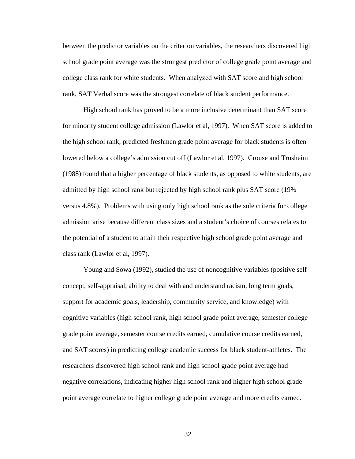between the predictor variables on the criterion variables, the researchers discovered high school grade point average was the strongest predictor of college grade point average and college class rank for white students. When analyzed with SAT score and high school rank, SAT Verbal score was the strongest correlate of black student performance.

High school rank has proved to be a more inclusive determinant than SAT score for minority student college admission (Lawlor et al, 1997). When SAT score is added to the high school rank, predicted freshmen grade point average for black students is often lowered below a college's admission cut off (Lawlor et al, 1997). Crouse and Trusheim (1988) found that a higher percentage of black students, as opposed to white students, are admitted by high school rank but rejected by high school rank plus SAT score (19% versus 4.8%). Problems with using only high school rank as the sole criteria for college admission arise because different class sizes and a student's choice of courses relates to the potential of a student to attain their respective high school grade point average and class rank (Lawlor et al, 1997).

Young and Sowa (1992), studied the use of noncognitive variables (positive self concept, self-appraisal, ability to deal with and understand racism, long term goals, support for academic goals, leadership, community service, and knowledge) with cognitive variables (high school rank, high school grade point average, semester college grade point average, semester course credits earned, cumulative course credits earned, and SAT scores) in predicting college academic success for black student-athletes. The researchers discovered high school rank and high school grade point average had negative correlations, indicating higher high school rank and higher high school grade point average correlate to higher college grade point average and more credits earned.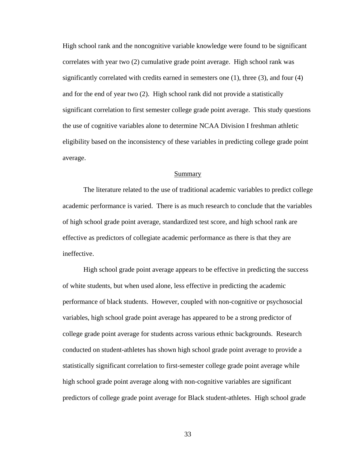High school rank and the noncognitive variable knowledge were found to be significant correlates with year two (2) cumulative grade point average. High school rank was significantly correlated with credits earned in semesters one (1), three (3), and four (4) and for the end of year two (2). High school rank did not provide a statistically significant correlation to first semester college grade point average. This study questions the use of cognitive variables alone to determine NCAA Division I freshman athletic eligibility based on the inconsistency of these variables in predicting college grade point average.

### Summary

 The literature related to the use of traditional academic variables to predict college academic performance is varied. There is as much research to conclude that the variables of high school grade point average, standardized test score, and high school rank are effective as predictors of collegiate academic performance as there is that they are ineffective.

 High school grade point average appears to be effective in predicting the success of white students, but when used alone, less effective in predicting the academic performance of black students. However, coupled with non-cognitive or psychosocial variables, high school grade point average has appeared to be a strong predictor of college grade point average for students across various ethnic backgrounds. Research conducted on student-athletes has shown high school grade point average to provide a statistically significant correlation to first-semester college grade point average while high school grade point average along with non-cognitive variables are significant predictors of college grade point average for Black student-athletes. High school grade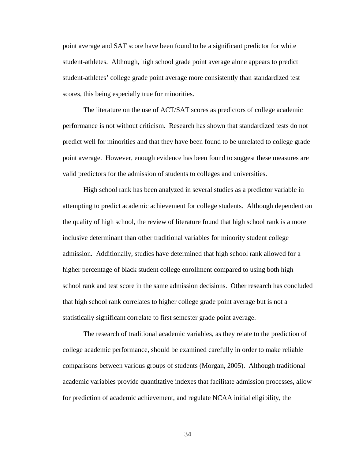point average and SAT score have been found to be a significant predictor for white student-athletes. Although, high school grade point average alone appears to predict student-athletes' college grade point average more consistently than standardized test scores, this being especially true for minorities.

 The literature on the use of ACT/SAT scores as predictors of college academic performance is not without criticism. Research has shown that standardized tests do not predict well for minorities and that they have been found to be unrelated to college grade point average. However, enough evidence has been found to suggest these measures are valid predictors for the admission of students to colleges and universities.

 High school rank has been analyzed in several studies as a predictor variable in attempting to predict academic achievement for college students. Although dependent on the quality of high school, the review of literature found that high school rank is a more inclusive determinant than other traditional variables for minority student college admission. Additionally, studies have determined that high school rank allowed for a higher percentage of black student college enrollment compared to using both high school rank and test score in the same admission decisions. Other research has concluded that high school rank correlates to higher college grade point average but is not a statistically significant correlate to first semester grade point average.

 The research of traditional academic variables, as they relate to the prediction of college academic performance, should be examined carefully in order to make reliable comparisons between various groups of students (Morgan, 2005). Although traditional academic variables provide quantitative indexes that facilitate admission processes, allow for prediction of academic achievement, and regulate NCAA initial eligibility, the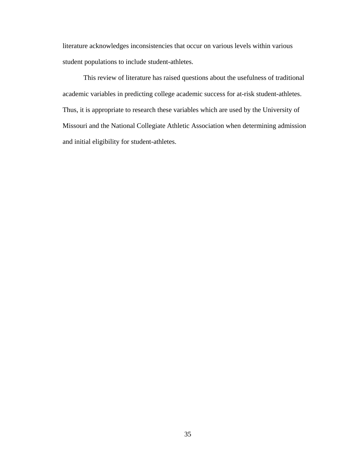literature acknowledges inconsistencies that occur on various levels within various student populations to include student-athletes.

 This review of literature has raised questions about the usefulness of traditional academic variables in predicting college academic success for at-risk student-athletes. Thus, it is appropriate to research these variables which are used by the University of Missouri and the National Collegiate Athletic Association when determining admission and initial eligibility for student-athletes.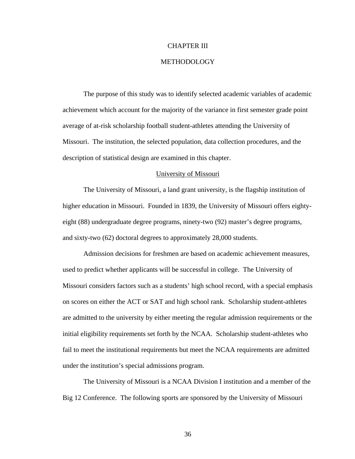## CHAPTER III

# METHODOLOGY

The purpose of this study was to identify selected academic variables of academic achievement which account for the majority of the variance in first semester grade point average of at-risk scholarship football student-athletes attending the University of Missouri. The institution, the selected population, data collection procedures, and the description of statistical design are examined in this chapter.

#### University of Missouri

The University of Missouri, a land grant university, is the flagship institution of higher education in Missouri. Founded in 1839, the University of Missouri offers eightyeight (88) undergraduate degree programs, ninety-two (92) master's degree programs, and sixty-two (62) doctoral degrees to approximately 28,000 students.

Admission decisions for freshmen are based on academic achievement measures, used to predict whether applicants will be successful in college. The University of Missouri considers factors such as a students' high school record, with a special emphasis on scores on either the ACT or SAT and high school rank. Scholarship student-athletes are admitted to the university by either meeting the regular admission requirements or the initial eligibility requirements set forth by the NCAA. Scholarship student-athletes who fail to meet the institutional requirements but meet the NCAA requirements are admitted under the institution's special admissions program.

The University of Missouri is a NCAA Division I institution and a member of the Big 12 Conference. The following sports are sponsored by the University of Missouri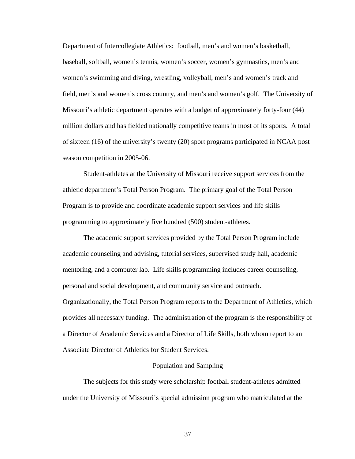Department of Intercollegiate Athletics: football, men's and women's basketball, baseball, softball, women's tennis, women's soccer, women's gymnastics, men's and women's swimming and diving, wrestling, volleyball, men's and women's track and field, men's and women's cross country, and men's and women's golf. The University of Missouri's athletic department operates with a budget of approximately forty-four (44) million dollars and has fielded nationally competitive teams in most of its sports. A total of sixteen (16) of the university's twenty (20) sport programs participated in NCAA post season competition in 2005-06.

Student-athletes at the University of Missouri receive support services from the athletic department's Total Person Program. The primary goal of the Total Person Program is to provide and coordinate academic support services and life skills programming to approximately five hundred (500) student-athletes.

The academic support services provided by the Total Person Program include academic counseling and advising, tutorial services, supervised study hall, academic mentoring, and a computer lab. Life skills programming includes career counseling, personal and social development, and community service and outreach. Organizationally, the Total Person Program reports to the Department of Athletics, which provides all necessary funding. The administration of the program is the responsibility of a Director of Academic Services and a Director of Life Skills, both whom report to an Associate Director of Athletics for Student Services.

#### Population and Sampling

The subjects for this study were scholarship football student-athletes admitted under the University of Missouri's special admission program who matriculated at the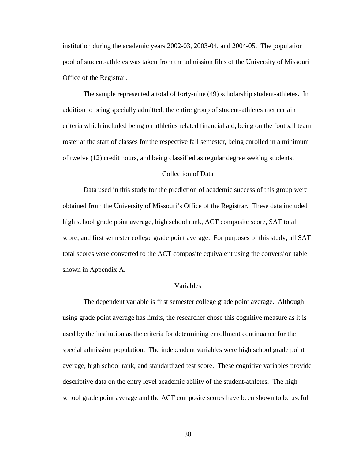institution during the academic years 2002-03, 2003-04, and 2004-05. The population pool of student-athletes was taken from the admission files of the University of Missouri Office of the Registrar.

The sample represented a total of forty-nine (49) scholarship student-athletes. In addition to being specially admitted, the entire group of student-athletes met certain criteria which included being on athletics related financial aid, being on the football team roster at the start of classes for the respective fall semester, being enrolled in a minimum of twelve (12) credit hours, and being classified as regular degree seeking students.

#### Collection of Data

Data used in this study for the prediction of academic success of this group were obtained from the University of Missouri's Office of the Registrar. These data included high school grade point average, high school rank, ACT composite score, SAT total score, and first semester college grade point average. For purposes of this study, all SAT total scores were converted to the ACT composite equivalent using the conversion table shown in Appendix A.

#### Variables

The dependent variable is first semester college grade point average. Although using grade point average has limits, the researcher chose this cognitive measure as it is used by the institution as the criteria for determining enrollment continuance for the special admission population. The independent variables were high school grade point average, high school rank, and standardized test score. These cognitive variables provide descriptive data on the entry level academic ability of the student-athletes. The high school grade point average and the ACT composite scores have been shown to be useful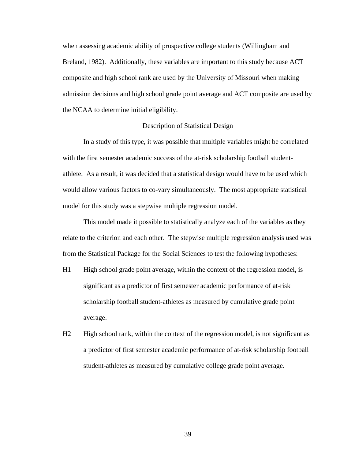when assessing academic ability of prospective college students (Willingham and Breland, 1982). Additionally, these variables are important to this study because ACT composite and high school rank are used by the University of Missouri when making admission decisions and high school grade point average and ACT composite are used by the NCAA to determine initial eligibility.

## Description of Statistical Design

In a study of this type, it was possible that multiple variables might be correlated with the first semester academic success of the at-risk scholarship football studentathlete. As a result, it was decided that a statistical design would have to be used which would allow various factors to co-vary simultaneously. The most appropriate statistical model for this study was a stepwise multiple regression model.

This model made it possible to statistically analyze each of the variables as they relate to the criterion and each other. The stepwise multiple regression analysis used was from the Statistical Package for the Social Sciences to test the following hypotheses:

- H1 High school grade point average, within the context of the regression model, is significant as a predictor of first semester academic performance of at-risk scholarship football student-athletes as measured by cumulative grade point average.
- H<sub>2</sub> High school rank, within the context of the regression model, is not significant as a predictor of first semester academic performance of at-risk scholarship football student-athletes as measured by cumulative college grade point average.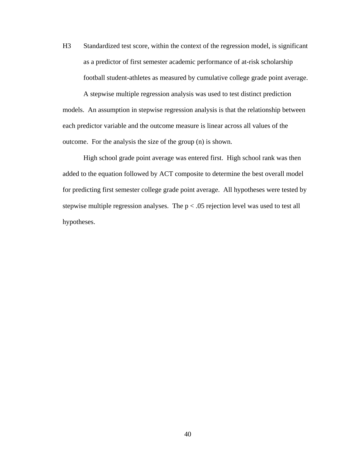H3 Standardized test score, within the context of the regression model, is significant as a predictor of first semester academic performance of at-risk scholarship football student-athletes as measured by cumulative college grade point average.

 A stepwise multiple regression analysis was used to test distinct prediction models. An assumption in stepwise regression analysis is that the relationship between each predictor variable and the outcome measure is linear across all values of the outcome. For the analysis the size of the group (n) is shown.

High school grade point average was entered first. High school rank was then added to the equation followed by ACT composite to determine the best overall model for predicting first semester college grade point average. All hypotheses were tested by stepwise multiple regression analyses. The  $p < .05$  rejection level was used to test all hypotheses.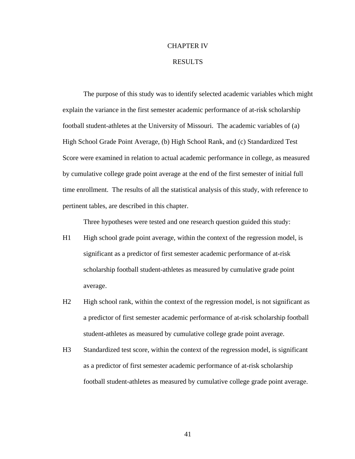## CHAPTER IV

## RESULTS

 The purpose of this study was to identify selected academic variables which might explain the variance in the first semester academic performance of at-risk scholarship football student-athletes at the University of Missouri. The academic variables of (a) High School Grade Point Average, (b) High School Rank, and (c) Standardized Test Score were examined in relation to actual academic performance in college, as measured by cumulative college grade point average at the end of the first semester of initial full time enrollment. The results of all the statistical analysis of this study, with reference to pertinent tables, are described in this chapter.

Three hypotheses were tested and one research question guided this study:

- H1 High school grade point average, within the context of the regression model, is significant as a predictor of first semester academic performance of at-risk scholarship football student-athletes as measured by cumulative grade point average.
- H<sub>2</sub> High school rank, within the context of the regression model, is not significant as a predictor of first semester academic performance of at-risk scholarship football student-athletes as measured by cumulative college grade point average.
- H3 Standardized test score, within the context of the regression model, is significant as a predictor of first semester academic performance of at-risk scholarship football student-athletes as measured by cumulative college grade point average.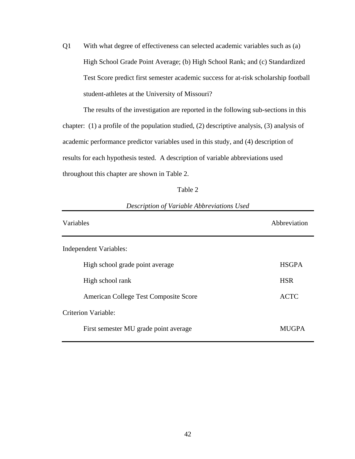Q1 With what degree of effectiveness can selected academic variables such as (a) High School Grade Point Average; (b) High School Rank; and (c) Standardized Test Score predict first semester academic success for at-risk scholarship football student-athletes at the University of Missouri?

 The results of the investigation are reported in the following sub-sections in this chapter: (1) a profile of the population studied, (2) descriptive analysis, (3) analysis of academic performance predictor variables used in this study, and (4) description of results for each hypothesis tested. A description of variable abbreviations used throughout this chapter are shown in Table 2.

| . . |  |
|-----|--|
|     |  |

| Variables                             | Abbreviation |
|---------------------------------------|--------------|
| Independent Variables:                |              |
| High school grade point average       | <b>HSGPA</b> |
| High school rank                      | <b>HSR</b>   |
| American College Test Composite Score | <b>ACTC</b>  |
| Criterion Variable:                   |              |
| First semester MU grade point average | <b>MUGPA</b> |

## *Description of Variable Abbreviations Used*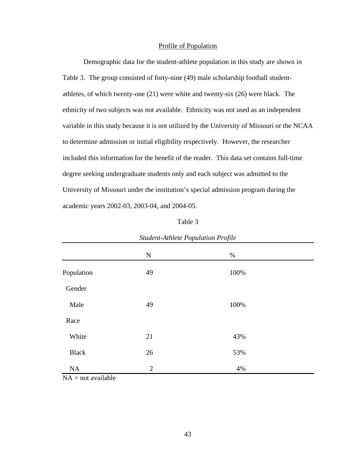## Profile of Population

 Demographic data for the student-athlete population in this study are shown in Table 3. The group consisted of forty-nine (49) male scholarship football studentathletes, of which twenty-one (21) were white and twenty-six (26) were black. The ethnicity of two subjects was not available. Ethnicity was not used as an independent variable in this study because it is not utilized by the University of Missouri or the NCAA to determine admission or initial eligibility respectively. However, the researcher included this information for the benefit of the reader. This data set contains full-time degree seeking undergraduate students only and each subject was admitted to the University of Missouri under the institution's special admission program during the academic years 2002-03, 2003-04, and 2004-05.

| anje |  |
|------|--|
|------|--|

|              | ${\bf N}$      | $\%$ |  |
|--------------|----------------|------|--|
| Population   | 49             | 100% |  |
| Gender       |                |      |  |
| Male         | 49             | 100% |  |
| Race         |                |      |  |
| White        | 21             | 43%  |  |
| <b>Black</b> | 26             | 53%  |  |
| NA           | $\overline{2}$ | 4%   |  |

*Student-Athlete Population Profile* 

 $NA = not available$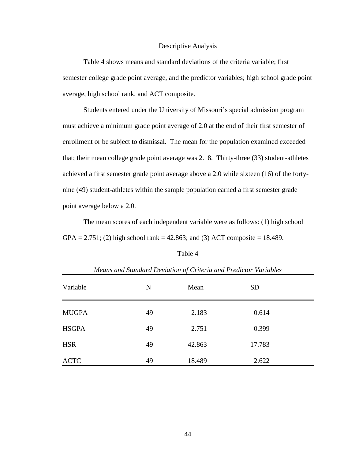## Descriptive Analysis

 Table 4 shows means and standard deviations of the criteria variable; first semester college grade point average, and the predictor variables; high school grade point average, high school rank, and ACT composite.

 Students entered under the University of Missouri's special admission program must achieve a minimum grade point average of 2.0 at the end of their first semester of enrollment or be subject to dismissal. The mean for the population examined exceeded that; their mean college grade point average was 2.18. Thirty-three (33) student-athletes achieved a first semester grade point average above a 2.0 while sixteen (16) of the fortynine (49) student-athletes within the sample population earned a first semester grade point average below a 2.0.

 The mean scores of each independent variable were as follows: (1) high school  $GPA = 2.751$ ; (2) high school rank = 42.863; and (3) ACT composite = 18.489.

| ant |  |
|-----|--|
|-----|--|

| means and standard Deviation of Criteria and Fredictor Variables |    |        |           |  |  |
|------------------------------------------------------------------|----|--------|-----------|--|--|
| Variable                                                         | N  | Mean   | <b>SD</b> |  |  |
| <b>MUGPA</b>                                                     | 49 | 2.183  | 0.614     |  |  |
| <b>HSGPA</b>                                                     | 49 | 2.751  | 0.399     |  |  |
| <b>HSR</b>                                                       | 49 | 42.863 | 17.783    |  |  |
| <b>ACTC</b>                                                      | 49 | 18.489 | 2.622     |  |  |

*Means and Standard Deviation of Criteria and Predictor Variables*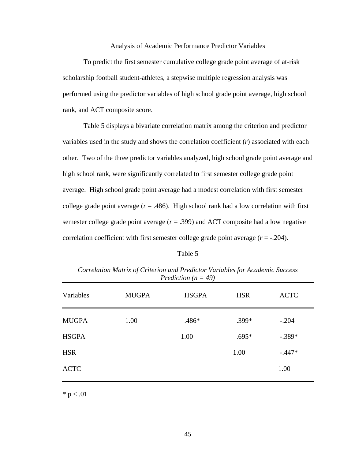## Analysis of Academic Performance Predictor Variables

 To predict the first semester cumulative college grade point average of at-risk scholarship football student-athletes, a stepwise multiple regression analysis was performed using the predictor variables of high school grade point average, high school rank, and ACT composite score.

 Table 5 displays a bivariate correlation matrix among the criterion and predictor variables used in the study and shows the correlation coefficient (*r*) associated with each other. Two of the three predictor variables analyzed, high school grade point average and high school rank, were significantly correlated to first semester college grade point average. High school grade point average had a modest correlation with first semester college grade point average  $(r = .486)$ . High school rank had a low correlation with first semester college grade point average  $(r = .399)$  and ACT composite had a low negative correlation coefficient with first semester college grade point average  $(r = -.204)$ .

### Table 5

| Variables    | <b>MUGPA</b> | <b>HSGPA</b> | <b>HSR</b> | <b>ACTC</b> |
|--------------|--------------|--------------|------------|-------------|
| <b>MUGPA</b> | 1.00         | .486*        | .399*      | $-.204$     |
| <b>HSGPA</b> |              | 1.00         | $.695*$    | $-.389*$    |
| <b>HSR</b>   |              |              | 1.00       | $-.447*$    |
| <b>ACTC</b>  |              |              |            | 1.00        |
|              |              |              |            |             |

*Correlation Matrix of Criterion and Predictor Variables for Academic Success Prediction (n = 49)* 

 $* p < .01$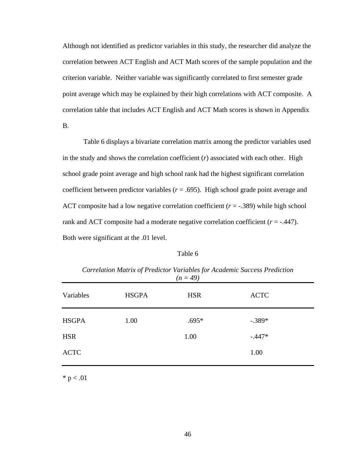Although not identified as predictor variables in this study, the researcher did analyze the correlation between ACT English and ACT Math scores of the sample population and the criterion variable. Neither variable was significantly correlated to first semester grade point average which may be explained by their high correlations with ACT composite. A correlation table that includes ACT English and ACT Math scores is shown in Appendix B.

 Table 6 displays a bivariate correlation matrix among the predictor variables used in the study and shows the correlation coefficient (*r*) associated with each other. High school grade point average and high school rank had the highest significant correlation coefficient between predictor variables  $(r = .695)$ . High school grade point average and ACT composite had a low negative correlation coefficient (*r* = -.389) while high school rank and ACT composite had a moderate negative correlation coefficient (*r* = -.447). Both were significant at the .01 level.

## Table 6

*Correlation Matrix of Predictor Variables for Academic Success Prediction (n = 49)*

| Variables    | <b>HSGPA</b> | <b>HSR</b> | <b>ACTC</b> |
|--------------|--------------|------------|-------------|
| <b>HSGPA</b> | 1.00         | $.695*$    | $-.389*$    |
| <b>HSR</b>   |              | 1.00       | $-.447*$    |
| <b>ACTC</b>  |              |            | 1.00        |

 $* p < .01$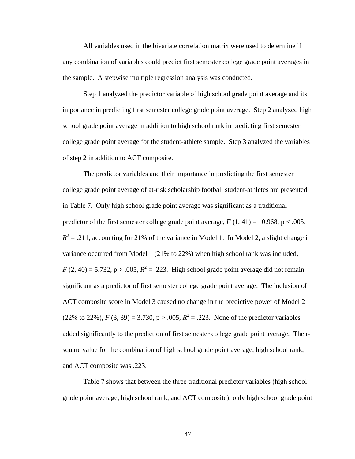All variables used in the bivariate correlation matrix were used to determine if any combination of variables could predict first semester college grade point averages in the sample. A stepwise multiple regression analysis was conducted.

Step 1 analyzed the predictor variable of high school grade point average and its importance in predicting first semester college grade point average. Step 2 analyzed high school grade point average in addition to high school rank in predicting first semester college grade point average for the student-athlete sample. Step 3 analyzed the variables of step 2 in addition to ACT composite.

The predictor variables and their importance in predicting the first semester college grade point average of at-risk scholarship football student-athletes are presented in Table 7. Only high school grade point average was significant as a traditional predictor of the first semester college grade point average,  $F(1, 41) = 10.968$ , p < .005,  $R^2$  = .211, accounting for 21% of the variance in Model 1. In Model 2, a slight change in variance occurred from Model 1 (21% to 22%) when high school rank was included,  $F(2, 40) = 5.732$ ,  $p > .005$ ,  $R^2 = .223$ . High school grade point average did not remain significant as a predictor of first semester college grade point average. The inclusion of ACT composite score in Model 3 caused no change in the predictive power of Model 2 (22% to 22%),  $F(3, 39) = 3.730$ ,  $p > .005$ ,  $R^2 = .223$ . None of the predictor variables added significantly to the prediction of first semester college grade point average. The rsquare value for the combination of high school grade point average, high school rank, and ACT composite was .223.

Table 7 shows that between the three traditional predictor variables (high school grade point average, high school rank, and ACT composite), only high school grade point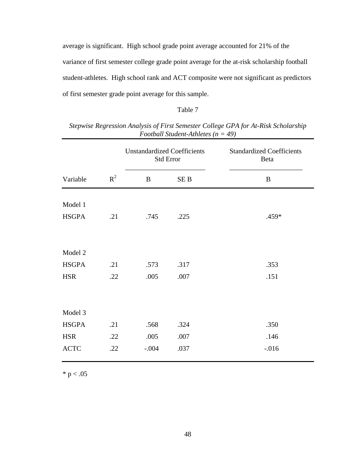average is significant. High school grade point average accounted for 21% of the variance of first semester college grade point average for the at-risk scholarship football student-athletes. High school rank and ACT composite were not significant as predictors of first semester grade point average for this sample.

# Table 7

*Stepwise Regression Analysis of First Semester College GPA for At-Risk Scholarship Football Student-Athletes (n = 49)*

|                       |       | <b>Unstandardized Coefficients</b><br><b>Std Error</b> |                 | <b>Standardized Coefficients</b><br>Beta |
|-----------------------|-------|--------------------------------------------------------|-----------------|------------------------------------------|
| Variable              | $R^2$ | B                                                      | SE <sub>B</sub> | B                                        |
| Model 1               |       |                                                        |                 |                                          |
| <b>HSGPA</b>          | .21   | .745                                                   | .225            | .459*                                    |
| Model 2               |       |                                                        |                 |                                          |
| <b>HSGPA</b>          | .21   | .573                                                   | .317            | .353                                     |
| <b>HSR</b>            | .22   | .005                                                   | .007            | .151                                     |
| Model 3               |       |                                                        |                 |                                          |
| <b>HSGPA</b>          | .21   | .568                                                   | .324            | .350                                     |
| <b>HSR</b>            | .22   | .005                                                   | .007            | .146                                     |
| $\operatorname{ACTC}$ | .22   | $-.004$                                                | .037            | $-0.016$                                 |

 $*$  p  $< .05$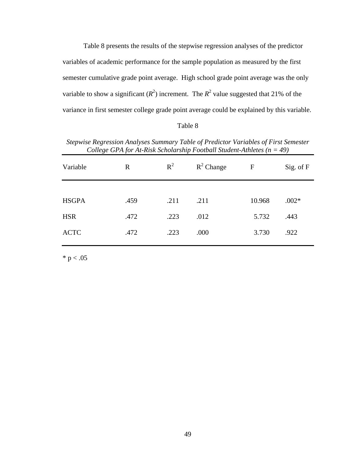Table 8 presents the results of the stepwise regression analyses of the predictor variables of academic performance for the sample population as measured by the first semester cumulative grade point average. High school grade point average was the only variable to show a significant  $(R^2)$  increment. The  $R^2$  value suggested that 21% of the variance in first semester college grade point average could be explained by this variable.

| `able |  |
|-------|--|
|-------|--|

| Stepwise Regression Analyses Summary Table of Predictor Variables of First Semester |
|-------------------------------------------------------------------------------------|
| College GPA for At-Risk Scholarship Football Student-Athletes ( $n = 49$ )          |

| Variable     | $\mathbf R$ | $R^2$ | $R^2$ Change | $\mathbf{F}$ | Sig. of F |
|--------------|-------------|-------|--------------|--------------|-----------|
|              |             |       |              |              |           |
| <b>HSGPA</b> | .459        | .211  | .211         | 10.968       | $.002*$   |
| <b>HSR</b>   | .472        | .223  | .012         | 5.732        | .443      |
| <b>ACTC</b>  | .472        | .223  | .000         | 3.730        | .922      |

 $* p < .05$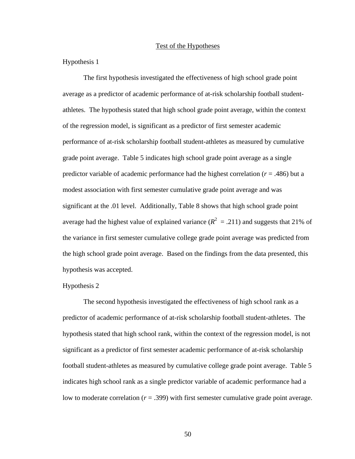# Test of the Hypotheses

Hypothesis 1

 The first hypothesis investigated the effectiveness of high school grade point average as a predictor of academic performance of at-risk scholarship football studentathletes. The hypothesis stated that high school grade point average, within the context of the regression model, is significant as a predictor of first semester academic performance of at-risk scholarship football student-athletes as measured by cumulative grade point average. Table 5 indicates high school grade point average as a single predictor variable of academic performance had the highest correlation (*r* = .486) but a modest association with first semester cumulative grade point average and was significant at the .01 level. Additionally, Table 8 shows that high school grade point average had the highest value of explained variance  $(R^2 = .211)$  and suggests that 21% of the variance in first semester cumulative college grade point average was predicted from the high school grade point average. Based on the findings from the data presented, this hypothesis was accepted.

### Hypothesis 2

 The second hypothesis investigated the effectiveness of high school rank as a predictor of academic performance of at-risk scholarship football student-athletes. The hypothesis stated that high school rank, within the context of the regression model, is not significant as a predictor of first semester academic performance of at-risk scholarship football student-athletes as measured by cumulative college grade point average. Table 5 indicates high school rank as a single predictor variable of academic performance had a low to moderate correlation (*r* = .399) with first semester cumulative grade point average.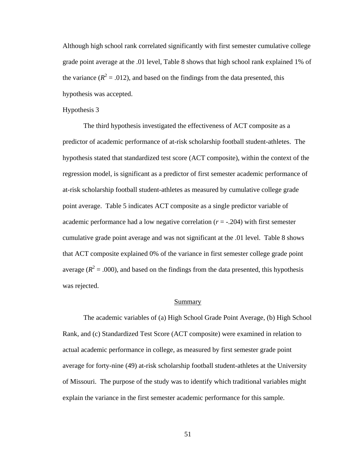Although high school rank correlated significantly with first semester cumulative college grade point average at the .01 level, Table 8 shows that high school rank explained 1% of the variance  $(R^2 = .012)$ , and based on the findings from the data presented, this hypothesis was accepted.

#### Hypothesis 3

 The third hypothesis investigated the effectiveness of ACT composite as a predictor of academic performance of at-risk scholarship football student-athletes. The hypothesis stated that standardized test score (ACT composite), within the context of the regression model, is significant as a predictor of first semester academic performance of at-risk scholarship football student-athletes as measured by cumulative college grade point average. Table 5 indicates ACT composite as a single predictor variable of academic performance had a low negative correlation (*r* = -.204) with first semester cumulative grade point average and was not significant at the .01 level. Table 8 shows that ACT composite explained 0% of the variance in first semester college grade point average ( $R^2$  = .000), and based on the findings from the data presented, this hypothesis was rejected.

### Summary

 The academic variables of (a) High School Grade Point Average, (b) High School Rank, and (c) Standardized Test Score (ACT composite) were examined in relation to actual academic performance in college, as measured by first semester grade point average for forty-nine (49) at-risk scholarship football student-athletes at the University of Missouri. The purpose of the study was to identify which traditional variables might explain the variance in the first semester academic performance for this sample.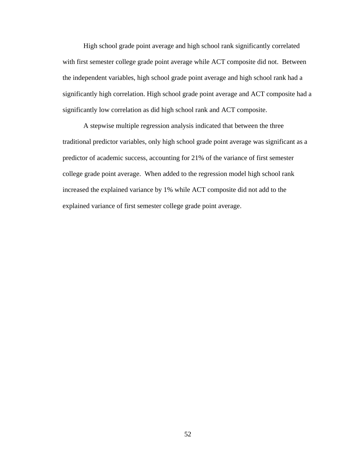High school grade point average and high school rank significantly correlated with first semester college grade point average while ACT composite did not. Between the independent variables, high school grade point average and high school rank had a significantly high correlation. High school grade point average and ACT composite had a significantly low correlation as did high school rank and ACT composite.

 A stepwise multiple regression analysis indicated that between the three traditional predictor variables, only high school grade point average was significant as a predictor of academic success, accounting for 21% of the variance of first semester college grade point average. When added to the regression model high school rank increased the explained variance by 1% while ACT composite did not add to the explained variance of first semester college grade point average.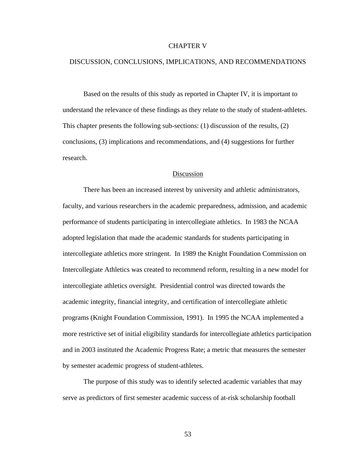### CHAPTER V

## DISCUSSION, CONCLUSIONS, IMPLICATIONS, AND RECOMMENDATIONS

 Based on the results of this study as reported in Chapter IV, it is important to understand the relevance of these findings as they relate to the study of student-athletes. This chapter presents the following sub-sections: (1) discussion of the results, (2) conclusions, (3) implications and recommendations, and (4) suggestions for further research.

#### Discussion

 There has been an increased interest by university and athletic administrators, faculty, and various researchers in the academic preparedness, admission, and academic performance of students participating in intercollegiate athletics. In 1983 the NCAA adopted legislation that made the academic standards for students participating in intercollegiate athletics more stringent. In 1989 the Knight Foundation Commission on Intercollegiate Athletics was created to recommend reform, resulting in a new model for intercollegiate athletics oversight. Presidential control was directed towards the academic integrity, financial integrity, and certification of intercollegiate athletic programs (Knight Foundation Commission, 1991). In 1995 the NCAA implemented a more restrictive set of initial eligibility standards for intercollegiate athletics participation and in 2003 instituted the Academic Progress Rate; a metric that measures the semester by semester academic progress of student-athletes.

The purpose of this study was to identify selected academic variables that may serve as predictors of first semester academic success of at-risk scholarship football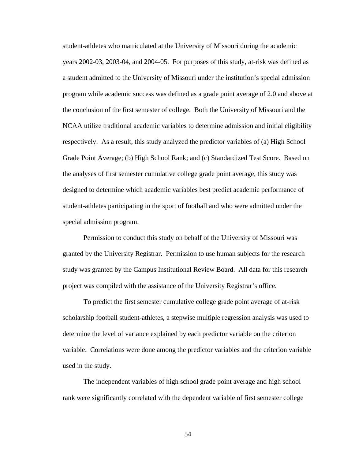student-athletes who matriculated at the University of Missouri during the academic years 2002-03, 2003-04, and 2004-05. For purposes of this study, at-risk was defined as a student admitted to the University of Missouri under the institution's special admission program while academic success was defined as a grade point average of 2.0 and above at the conclusion of the first semester of college. Both the University of Missouri and the NCAA utilize traditional academic variables to determine admission and initial eligibility respectively. As a result, this study analyzed the predictor variables of (a) High School Grade Point Average; (b) High School Rank; and (c) Standardized Test Score. Based on the analyses of first semester cumulative college grade point average, this study was designed to determine which academic variables best predict academic performance of student-athletes participating in the sport of football and who were admitted under the special admission program.

Permission to conduct this study on behalf of the University of Missouri was granted by the University Registrar. Permission to use human subjects for the research study was granted by the Campus Institutional Review Board. All data for this research project was compiled with the assistance of the University Registrar's office.

To predict the first semester cumulative college grade point average of at-risk scholarship football student-athletes, a stepwise multiple regression analysis was used to determine the level of variance explained by each predictor variable on the criterion variable. Correlations were done among the predictor variables and the criterion variable used in the study.

The independent variables of high school grade point average and high school rank were significantly correlated with the dependent variable of first semester college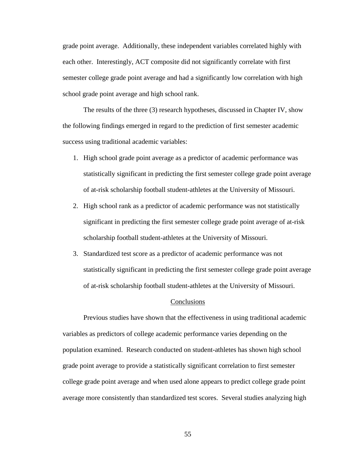grade point average. Additionally, these independent variables correlated highly with each other. Interestingly, ACT composite did not significantly correlate with first semester college grade point average and had a significantly low correlation with high school grade point average and high school rank.

The results of the three (3) research hypotheses, discussed in Chapter IV, show the following findings emerged in regard to the prediction of first semester academic success using traditional academic variables:

- 1. High school grade point average as a predictor of academic performance was statistically significant in predicting the first semester college grade point average of at-risk scholarship football student-athletes at the University of Missouri.
- 2. High school rank as a predictor of academic performance was not statistically significant in predicting the first semester college grade point average of at-risk scholarship football student-athletes at the University of Missouri.
- 3. Standardized test score as a predictor of academic performance was not statistically significant in predicting the first semester college grade point average of at-risk scholarship football student-athletes at the University of Missouri.

### **Conclusions**

 Previous studies have shown that the effectiveness in using traditional academic variables as predictors of college academic performance varies depending on the population examined. Research conducted on student-athletes has shown high school grade point average to provide a statistically significant correlation to first semester college grade point average and when used alone appears to predict college grade point average more consistently than standardized test scores. Several studies analyzing high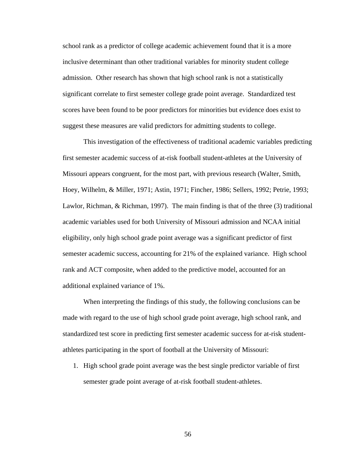school rank as a predictor of college academic achievement found that it is a more inclusive determinant than other traditional variables for minority student college admission. Other research has shown that high school rank is not a statistically significant correlate to first semester college grade point average. Standardized test scores have been found to be poor predictors for minorities but evidence does exist to suggest these measures are valid predictors for admitting students to college.

 This investigation of the effectiveness of traditional academic variables predicting first semester academic success of at-risk football student-athletes at the University of Missouri appears congruent, for the most part, with previous research (Walter, Smith, Hoey, Wilhelm, & Miller, 1971; Astin, 1971; Fincher, 1986; Sellers, 1992; Petrie, 1993; Lawlor, Richman, & Richman, 1997). The main finding is that of the three (3) traditional academic variables used for both University of Missouri admission and NCAA initial eligibility, only high school grade point average was a significant predictor of first semester academic success, accounting for 21% of the explained variance. High school rank and ACT composite, when added to the predictive model, accounted for an additional explained variance of 1%.

 When interpreting the findings of this study, the following conclusions can be made with regard to the use of high school grade point average, high school rank, and standardized test score in predicting first semester academic success for at-risk studentathletes participating in the sport of football at the University of Missouri:

1. High school grade point average was the best single predictor variable of first semester grade point average of at-risk football student-athletes.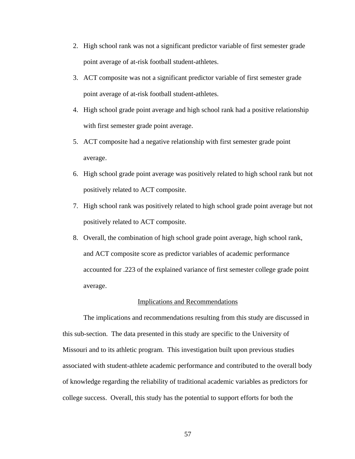- 2. High school rank was not a significant predictor variable of first semester grade point average of at-risk football student-athletes.
- 3. ACT composite was not a significant predictor variable of first semester grade point average of at-risk football student-athletes.
- 4. High school grade point average and high school rank had a positive relationship with first semester grade point average.
- 5. ACT composite had a negative relationship with first semester grade point average.
- 6. High school grade point average was positively related to high school rank but not positively related to ACT composite.
- 7. High school rank was positively related to high school grade point average but not positively related to ACT composite.
- 8. Overall, the combination of high school grade point average, high school rank, and ACT composite score as predictor variables of academic performance accounted for .223 of the explained variance of first semester college grade point average.

### Implications and Recommendations

 The implications and recommendations resulting from this study are discussed in this sub-section. The data presented in this study are specific to the University of Missouri and to its athletic program. This investigation built upon previous studies associated with student-athlete academic performance and contributed to the overall body of knowledge regarding the reliability of traditional academic variables as predictors for college success. Overall, this study has the potential to support efforts for both the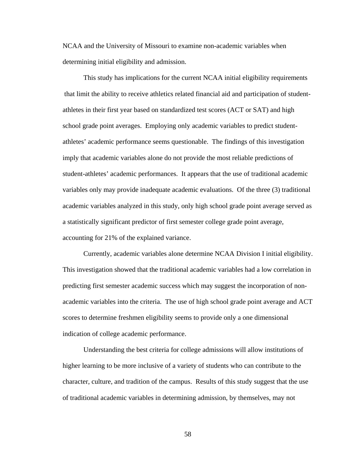NCAA and the University of Missouri to examine non-academic variables when determining initial eligibility and admission.

This study has implications for the current NCAA initial eligibility requirements that limit the ability to receive athletics related financial aid and participation of studentathletes in their first year based on standardized test scores (ACT or SAT) and high school grade point averages. Employing only academic variables to predict studentathletes' academic performance seems questionable. The findings of this investigation imply that academic variables alone do not provide the most reliable predictions of student-athletes' academic performances. It appears that the use of traditional academic variables only may provide inadequate academic evaluations. Of the three (3) traditional academic variables analyzed in this study, only high school grade point average served as a statistically significant predictor of first semester college grade point average, accounting for 21% of the explained variance.

 Currently, academic variables alone determine NCAA Division I initial eligibility. This investigation showed that the traditional academic variables had a low correlation in predicting first semester academic success which may suggest the incorporation of nonacademic variables into the criteria. The use of high school grade point average and ACT scores to determine freshmen eligibility seems to provide only a one dimensional indication of college academic performance.

Understanding the best criteria for college admissions will allow institutions of higher learning to be more inclusive of a variety of students who can contribute to the character, culture, and tradition of the campus. Results of this study suggest that the use of traditional academic variables in determining admission, by themselves, may not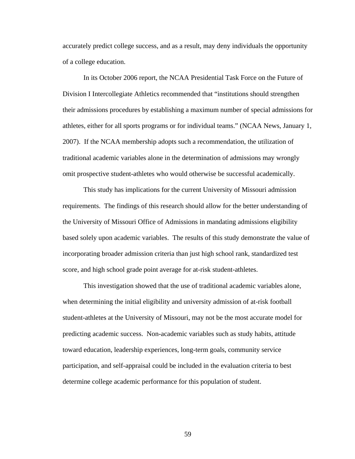accurately predict college success, and as a result, may deny individuals the opportunity of a college education.

In its October 2006 report, the NCAA Presidential Task Force on the Future of Division I Intercollegiate Athletics recommended that "institutions should strengthen their admissions procedures by establishing a maximum number of special admissions for athletes, either for all sports programs or for individual teams." (NCAA News, January 1, 2007). If the NCAA membership adopts such a recommendation, the utilization of traditional academic variables alone in the determination of admissions may wrongly omit prospective student-athletes who would otherwise be successful academically.

 This study has implications for the current University of Missouri admission requirements. The findings of this research should allow for the better understanding of the University of Missouri Office of Admissions in mandating admissions eligibility based solely upon academic variables. The results of this study demonstrate the value of incorporating broader admission criteria than just high school rank, standardized test score, and high school grade point average for at-risk student-athletes.

This investigation showed that the use of traditional academic variables alone, when determining the initial eligibility and university admission of at-risk football student-athletes at the University of Missouri, may not be the most accurate model for predicting academic success. Non-academic variables such as study habits, attitude toward education, leadership experiences, long-term goals, community service participation, and self-appraisal could be included in the evaluation criteria to best determine college academic performance for this population of student.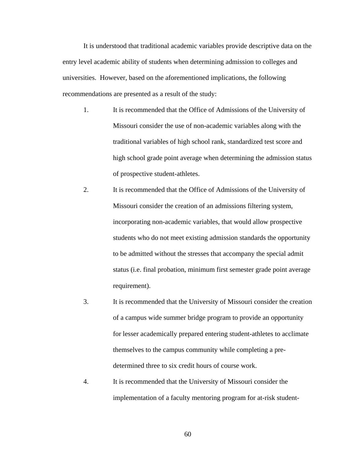It is understood that traditional academic variables provide descriptive data on the entry level academic ability of students when determining admission to colleges and universities. However, based on the aforementioned implications, the following recommendations are presented as a result of the study:

- 1. It is recommended that the Office of Admissions of the University of Missouri consider the use of non-academic variables along with the traditional variables of high school rank, standardized test score and high school grade point average when determining the admission status of prospective student-athletes.
- 2. It is recommended that the Office of Admissions of the University of Missouri consider the creation of an admissions filtering system, incorporating non-academic variables, that would allow prospective students who do not meet existing admission standards the opportunity to be admitted without the stresses that accompany the special admit status (i.e. final probation, minimum first semester grade point average requirement).
- 3. It is recommended that the University of Missouri consider the creation of a campus wide summer bridge program to provide an opportunity for lesser academically prepared entering student-athletes to acclimate themselves to the campus community while completing a predetermined three to six credit hours of course work.
- 4. It is recommended that the University of Missouri consider the implementation of a faculty mentoring program for at-risk student-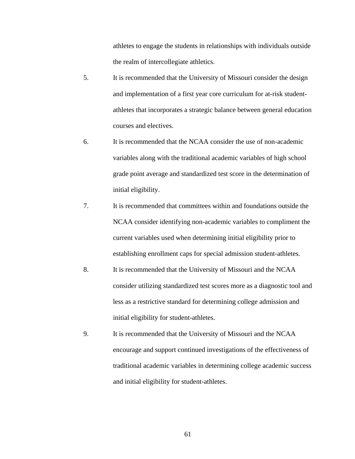athletes to engage the students in relationships with individuals outside the realm of intercollegiate athletics.

- 5. It is recommended that the University of Missouri consider the design and implementation of a first year core curriculum for at-risk studentathletes that incorporates a strategic balance between general education courses and electives.
- 6. It is recommended that the NCAA consider the use of non-academic variables along with the traditional academic variables of high school grade point average and standardized test score in the determination of initial eligibility.
- 7. It is recommended that committees within and foundations outside the NCAA consider identifying non-academic variables to compliment the current variables used when determining initial eligibility prior to establishing enrollment caps for special admission student-athletes.
- 8. It is recommended that the University of Missouri and the NCAA consider utilizing standardized test scores more as a diagnostic tool and less as a restrictive standard for determining college admission and initial eligibility for student-athletes.
- 9. It is recommended that the University of Missouri and the NCAA encourage and support continued investigations of the effectiveness of traditional academic variables in determining college academic success and initial eligibility for student-athletes.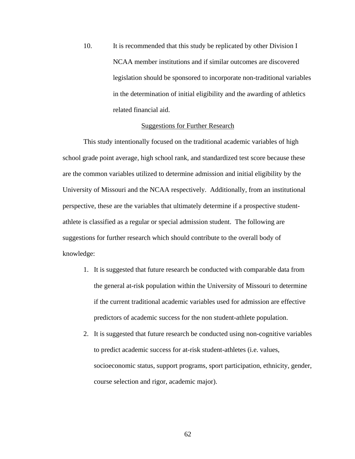10. It is recommended that this study be replicated by other Division I NCAA member institutions and if similar outcomes are discovered legislation should be sponsored to incorporate non-traditional variables in the determination of initial eligibility and the awarding of athletics related financial aid.

## Suggestions for Further Research

This study intentionally focused on the traditional academic variables of high school grade point average, high school rank, and standardized test score because these are the common variables utilized to determine admission and initial eligibility by the University of Missouri and the NCAA respectively. Additionally, from an institutional perspective, these are the variables that ultimately determine if a prospective studentathlete is classified as a regular or special admission student. The following are suggestions for further research which should contribute to the overall body of knowledge:

- 1. It is suggested that future research be conducted with comparable data from the general at-risk population within the University of Missouri to determine if the current traditional academic variables used for admission are effective predictors of academic success for the non student-athlete population.
- 2. It is suggested that future research be conducted using non-cognitive variables to predict academic success for at-risk student-athletes (i.e. values, socioeconomic status, support programs, sport participation, ethnicity, gender, course selection and rigor, academic major).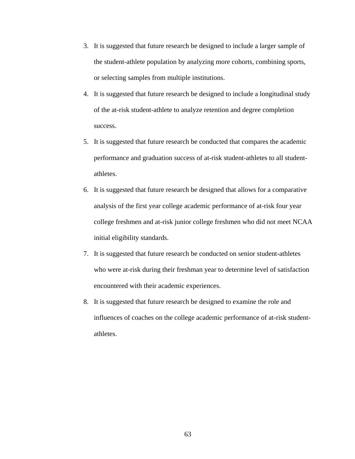- 3. It is suggested that future research be designed to include a larger sample of the student-athlete population by analyzing more cohorts, combining sports, or selecting samples from multiple institutions.
- 4. It is suggested that future research be designed to include a longitudinal study of the at-risk student-athlete to analyze retention and degree completion success.
- 5. It is suggested that future research be conducted that compares the academic performance and graduation success of at-risk student-athletes to all studentathletes.
- 6. It is suggested that future research be designed that allows for a comparative analysis of the first year college academic performance of at-risk four year college freshmen and at-risk junior college freshmen who did not meet NCAA initial eligibility standards.
- 7. It is suggested that future research be conducted on senior student-athletes who were at-risk during their freshman year to determine level of satisfaction encountered with their academic experiences.
- 8. It is suggested that future research be designed to examine the role and influences of coaches on the college academic performance of at-risk studentathletes.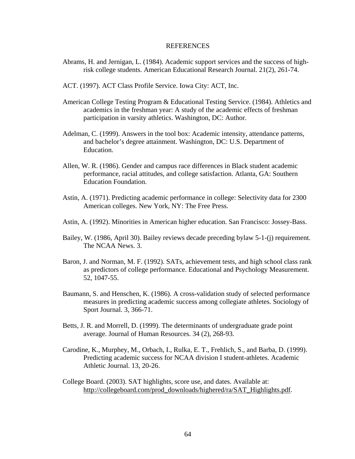## **REFERENCES**

- Abrams, H. and Jernigan, L. (1984). Academic support services and the success of highrisk college students. American Educational Research Journal. 21(2), 261-74.
- ACT. (1997). ACT Class Profile Service. Iowa City: ACT, Inc.
- American College Testing Program & Educational Testing Service. (1984). Athletics and academics in the freshman year: A study of the academic effects of freshman participation in varsity athletics. Washington, DC: Author.
- Adelman, C. (1999). Answers in the tool box: Academic intensity, attendance patterns, and bachelor's degree attainment. Washington, DC: U.S. Department of Education.
- Allen, W. R. (1986). Gender and campus race differences in Black student academic performance, racial attitudes, and college satisfaction. Atlanta, GA: Southern Education Foundation.
- Astin, A. (1971). Predicting academic performance in college: Selectivity data for 2300 American colleges. New York, NY: The Free Press.
- Astin, A. (1992). Minorities in American higher education. San Francisco: Jossey-Bass.
- Bailey, W. (1986, April 30). Bailey reviews decade preceding bylaw 5-1-(j) requirement. The NCAA News. 3.
- Baron, J. and Norman, M. F. (1992). SATs, achievement tests, and high school class rank as predictors of college performance. Educational and Psychology Measurement. 52, 1047-55.
- Baumann, S. and Henschen, K. (1986). A cross-validation study of selected performance measures in predicting academic success among collegiate athletes. Sociology of Sport Journal. 3, 366-71.
- Betts, J. R. and Morrell, D. (1999). The determinants of undergraduate grade point average. Journal of Human Resources. 34 (2), 268-93.
- Carodine, K., Murphey, M., Orbach, I., Rulka, E. T., Frehlich, S., and Barba, D. (1999). Predicting academic success for NCAA division I student-athletes. Academic Athletic Journal. 13, 20-26.
- College Board. (2003). SAT highlights, score use, and dates. Available at: [http://collegeboard.com/prod\\_downloads/highered/ra/SAT\\_Highlights.pdf](http://collegeboard.com/prod_downloads/highered/ra/SAT_Highlights.pdf).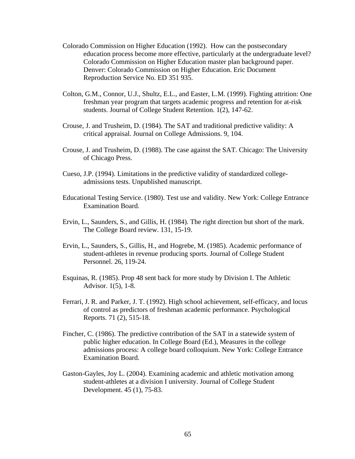- Colorado Commission on Higher Education (1992). How can the postsecondary education process become more effective, particularly at the undergraduate level? Colorado Commission on Higher Education master plan background paper. Denver: Colorado Commission on Higher Education. Eric Document Reproduction Service No. ED 351 935.
- Colton, G.M., Connor, U.J., Shultz, E.L., and Easter, L.M. (1999). Fighting attrition: One freshman year program that targets academic progress and retention for at-risk students. Journal of College Student Retention. 1(2), 147-62.
- Crouse, J. and Trusheim, D. (1984). The SAT and traditional predictive validity: A critical appraisal. Journal on College Admissions. 9, 104.
- Crouse, J. and Trusheim, D. (1988). The case against the SAT. Chicago: The University of Chicago Press.
- Cueso, J.P. (1994). Limitations in the predictive validity of standardized collegeadmissions tests. Unpublished manuscript.
- Educational Testing Service. (1980). Test use and validity. New York: College Entrance Examination Board.
- Ervin, L., Saunders, S., and Gillis, H. (1984). The right direction but short of the mark. The College Board review. 131, 15-19.
- Ervin, L., Saunders, S., Gillis, H., and Hogrebe, M. (1985). Academic performance of student-athletes in revenue producing sports. Journal of College Student Personnel. 26, 119-24.
- Esquinas, R. (1985). Prop 48 sent back for more study by Division I. The Athletic Advisor. 1(5), 1-8.
- Ferrari, J. R. and Parker, J. T. (1992). High school achievement, self-efficacy, and locus of control as predictors of freshman academic performance. Psychological Reports. 71 (2), 515-18.
- Fincher, C. (1986). The predictive contribution of the SAT in a statewide system of public higher education. In College Board (Ed.), Measures in the college admissions process: A college board colloquium. New York: College Entrance Examination Board.
- Gaston-Gayles, Joy L. (2004). Examining academic and athletic motivation among student-athletes at a division I university. Journal of College Student Development. 45 (1), 75-83.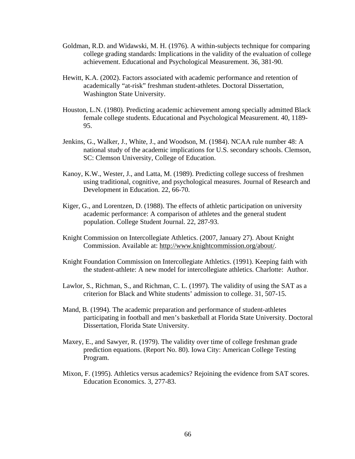- Goldman, R.D. and Widawski, M. H. (1976). A within-subjects technique for comparing college grading standards: Implications in the validity of the evaluation of college achievement. Educational and Psychological Measurement. 36, 381-90.
- Hewitt, K.A. (2002). Factors associated with academic performance and retention of academically "at-risk" freshman student-athletes. Doctoral Dissertation, Washington State University.
- Houston, L.N. (1980). Predicting academic achievement among specially admitted Black female college students. Educational and Psychological Measurement. 40, 1189- 95.
- Jenkins, G., Walker, J., White, J., and Woodson, M. (1984). NCAA rule number 48: A national study of the academic implications for U.S. secondary schools. Clemson, SC: Clemson University, College of Education.
- Kanoy, K.W., Wester, J., and Latta, M. (1989). Predicting college success of freshmen using traditional, cognitive, and psychological measures. Journal of Research and Development in Education. 22, 66-70.
- Kiger, G., and Lorentzen, D. (1988). The effects of athletic participation on university academic performance: A comparison of athletes and the general student population. College Student Journal. 22, 287-93.
- Knight Commission on Intercollegiate Athletics. (2007, January 27). About Knight Commission. Available at: [http://www.knightcommission.org/about/.](http://www.knightcommission.org/about/)
- Knight Foundation Commission on Intercollegiate Athletics. (1991). Keeping faith with the student-athlete: A new model for intercollegiate athletics. Charlotte: Author.
- Lawlor, S., Richman, S., and Richman, C. L. (1997). The validity of using the SAT as a criterion for Black and White students' admission to college. 31, 507-15.
- Mand, B. (1994). The academic preparation and performance of student-athletes participating in football and men's basketball at Florida State University. Doctoral Dissertation, Florida State University.
- Maxey, E., and Sawyer, R. (1979). The validity over time of college freshman grade prediction equations. (Report No. 80). Iowa City: American College Testing Program.
- Mixon, F. (1995). Athletics versus academics? Rejoining the evidence from SAT scores. Education Economics. 3, 277-83.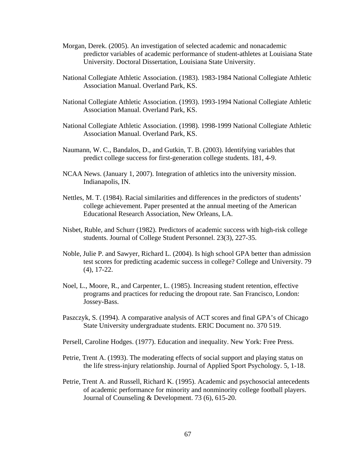- Morgan, Derek. (2005). An investigation of selected academic and nonacademic predictor variables of academic performance of student-athletes at Louisiana State University. Doctoral Dissertation, Louisiana State University.
- National Collegiate Athletic Association. (1983). 1983-1984 National Collegiate Athletic Association Manual. Overland Park, KS.
- National Collegiate Athletic Association. (1993). 1993-1994 National Collegiate Athletic Association Manual. Overland Park, KS.
- National Collegiate Athletic Association. (1998). 1998-1999 National Collegiate Athletic Association Manual. Overland Park, KS.
- Naumann, W. C., Bandalos, D., and Gutkin, T. B. (2003). Identifying variables that predict college success for first-generation college students. 181, 4-9.
- NCAA News. (January 1, 2007). Integration of athletics into the university mission. Indianapolis, IN.
- Nettles, M. T. (1984). Racial similarities and differences in the predictors of students' college achievement. Paper presented at the annual meeting of the American Educational Research Association, New Orleans, LA.
- Nisbet, Ruble, and Schurr (1982). Predictors of academic success with high-risk college students. Journal of College Student Personnel. 23(3), 227-35.
- Noble, Julie P. and Sawyer, Richard L. (2004). Is high school GPA better than admission test scores for predicting academic success in college? College and University. 79 (4), 17-22.
- Noel, L., Moore, R., and Carpenter, L. (1985). Increasing student retention, effective programs and practices for reducing the dropout rate. San Francisco, London: Jossey-Bass.
- Paszczyk, S. (1994). A comparative analysis of ACT scores and final GPA's of Chicago State University undergraduate students. ERIC Document no. 370 519.
- Persell, Caroline Hodges. (1977). Education and inequality. New York: Free Press.
- Petrie, Trent A. (1993). The moderating effects of social support and playing status on the life stress-injury relationship. Journal of Applied Sport Psychology. 5, 1-18.
- Petrie, Trent A. and Russell, Richard K. (1995). Academic and psychosocial antecedents of academic performance for minority and nonminority college football players. Journal of Counseling & Development. 73 (6), 615-20.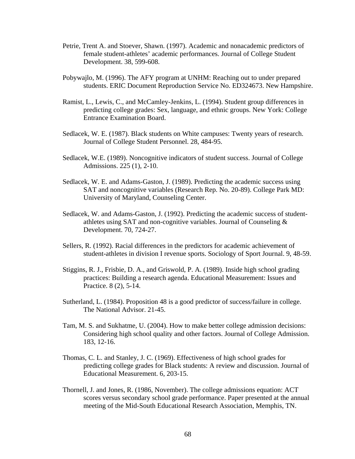- Petrie, Trent A. and Stoever, Shawn. (1997). Academic and nonacademic predictors of female student-athletes' academic performances. Journal of College Student Development. 38, 599-608.
- Pobywajlo, M. (1996). The AFY program at UNHM: Reaching out to under prepared students. ERIC Document Reproduction Service No. ED324673. New Hampshire.
- Ramist, L., Lewis, C., and McCamley-Jenkins, L. (1994). Student group differences in predicting college grades: Sex, language, and ethnic groups. New York: College Entrance Examination Board.
- Sedlacek, W. E. (1987). Black students on White campuses: Twenty years of research. Journal of College Student Personnel. 28, 484-95.
- Sedlacek, W.E. (1989). Noncognitive indicators of student success. Journal of College Admissions. 225 (1), 2-10.
- Sedlacek, W. E. and Adams-Gaston, J. (1989). Predicting the academic success using SAT and noncognitive variables (Research Rep. No. 20-89). College Park MD: University of Maryland, Counseling Center.
- Sedlacek, W. and Adams-Gaston, J. (1992). Predicting the academic success of studentathletes using SAT and non-cognitive variables. Journal of Counseling & Development. 70, 724-27.
- Sellers, R. (1992). Racial differences in the predictors for academic achievement of student-athletes in division I revenue sports. Sociology of Sport Journal. 9, 48-59.
- Stiggins, R. J., Frisbie, D. A., and Griswold, P. A. (1989). Inside high school grading practices: Building a research agenda. Educational Measurement: Issues and Practice. 8 (2), 5-14.
- Sutherland, L. (1984). Proposition 48 is a good predictor of success/failure in college. The National Advisor. 21-45.
- Tam, M. S. and Sukhatme, U. (2004). How to make better college admission decisions: Considering high school quality and other factors. Journal of College Admission. 183, 12-16.
- Thomas, C. L. and Stanley, J. C. (1969). Effectiveness of high school grades for predicting college grades for Black students: A review and discussion. Journal of Educational Measurement. 6, 203-15.
- Thornell, J. and Jones, R. (1986, November). The college admissions equation: ACT scores versus secondary school grade performance. Paper presented at the annual meeting of the Mid-South Educational Research Association, Memphis, TN.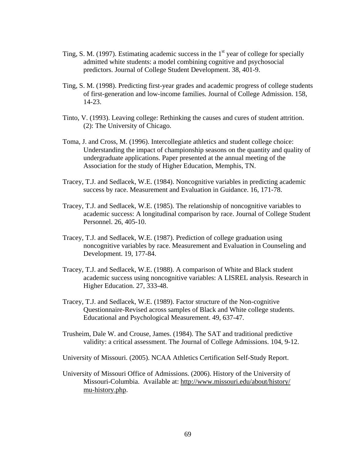- Ting, S. M. (1997). Estimating academic success in the  $1<sup>st</sup>$  year of college for specially admitted white students: a model combining cognitive and psychosocial predictors. Journal of College Student Development. 38, 401-9.
- Ting, S. M. (1998). Predicting first-year grades and academic progress of college students of first-generation and low-income families. Journal of College Admission. 158, 14-23.
- Tinto, V. (1993). Leaving college: Rethinking the causes and cures of student attrition. (2): The University of Chicago.
- Toma, J. and Cross, M. (1996). Intercollegiate athletics and student college choice: Understanding the impact of championship seasons on the quantity and quality of undergraduate applications. Paper presented at the annual meeting of the Association for the study of Higher Education, Memphis, TN.
- Tracey, T.J. and Sedlacek, W.E. (1984). Noncognitive variables in predicting academic success by race. Measurement and Evaluation in Guidance. 16, 171-78.
- Tracey, T.J. and Sedlacek, W.E. (1985). The relationship of noncognitive variables to academic success: A longitudinal comparison by race. Journal of College Student Personnel. 26, 405-10.
- Tracey, T.J. and Sedlacek, W.E. (1987). Prediction of college graduation using noncognitive variables by race. Measurement and Evaluation in Counseling and Development. 19, 177-84.
- Tracey, T.J. and Sedlacek, W.E. (1988). A comparison of White and Black student academic success using noncognitive variables: A LISREL analysis. Research in Higher Education. 27, 333-48.
- Tracey, T.J. and Sedlacek, W.E. (1989). Factor structure of the Non-cognitive Questionnaire-Revised across samples of Black and White college students. Educational and Psychological Measurement. 49, 637-47.
- Trusheim, Dale W. and Crouse, James. (1984). The SAT and traditional predictive validity: a critical assessment. The Journal of College Admissions. 104, 9-12.

University of Missouri. (2005). NCAA Athletics Certification Self-Study Report.

University of Missouri Office of Admissions. (2006). History of the University of Missouri-Columbia. Available at: <http://www.missouri.edu/about/history/> mu-history.php.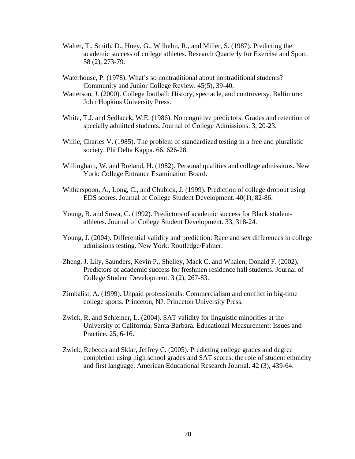- Walter, T., Smith, D., Hoey, G., Wilhelm, R., and Miller, S. (1987). Predicting the academic success of college athletes. Research Quarterly for Exercise and Sport. 58 (2), 273-79.
- Waterhouse, P. (1978). What's so nontraditional about nontraditional students? Community and Junior College Review. 45(5), 39-40.
- Watterson, J. (2000). College football: History, spectacle, and controversy. Baltimore: John Hopkins University Press.
- White, T.J. and Sedlacek, W.E. (1986). Noncognitive predictors: Grades and retention of specially admitted students. Journal of College Admissions. 3, 20-23.
- Willie, Charles V. (1985). The problem of standardized testing in a free and pluralistic society. Phi Delta Kappa. 66, 626-28.
- Willingham, W. and Breland, H. (1982). Personal qualities and college admissions. New York: College Entrance Examination Board.
- Witherspoon, A., Long, C., and Chubick, J. (1999). Prediction of college dropout using EDS scores. Journal of College Student Development. 40(1), 82-86.
- Young, B. and Sowa, C. (1992). Predictors of academic success for Black studentathletes. Journal of College Student Development. 33, 318-24.
- Young, J. (2004). Differential validity and prediction: Race and sex differences in college admissions testing. New York: Routledge/Falmer.
- Zheng, J. Lily, Saunders, Kevin P., Shelley, Mack C. and Whalen, Donald F. (2002). Predictors of academic success for freshmen residence hall students. Journal of College Student Development. 3 (2), 267-83.
- Zimbalist, A. (1999). Unpaid professionals: Commercialism and conflict in big-time college sports. Princeton, NJ: Princeton University Press.
- Zwick, R. and Schlemer, L. (2004). SAT validity for linguistic minorities at the University of California, Santa Barbara. Educational Measurement: Issues and Practice. 25, 6-16.
- Zwick, Rebecca and Sklar, Jeffrey C. (2005). Predicting college grades and degree completion using high school grades and SAT scores: the role of student ethnicity and first language. American Educational Research Journal. 42 (3), 439-64.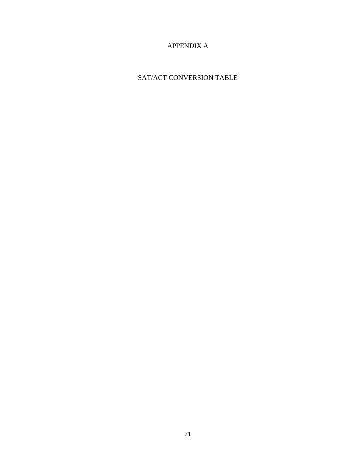## APPENDIX A

## SAT/ACT CONVERSION TABLE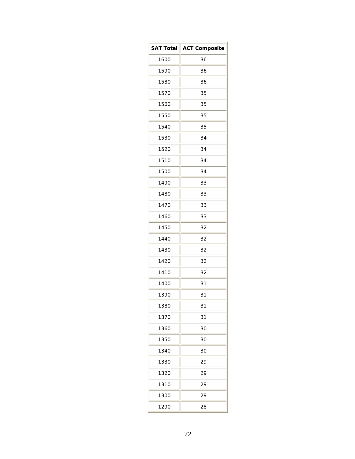| <b>SAT Total</b> | <b>ACT Composite</b> |  |  |  |
|------------------|----------------------|--|--|--|
| 1600             | 36                   |  |  |  |
| 1590             | 36                   |  |  |  |
| 1580             | 36                   |  |  |  |
| 1570             | 35                   |  |  |  |
| 1560             | 35                   |  |  |  |
| 1550             | 35                   |  |  |  |
| 1540             | 35                   |  |  |  |
| 1530             | 34                   |  |  |  |
| 1520             | 34                   |  |  |  |
| 1510             | 34                   |  |  |  |
| 1500             | 34                   |  |  |  |
| 1490             | 33                   |  |  |  |
| 1480             | 33                   |  |  |  |
| 1470             | 33                   |  |  |  |
| 1460             | 33                   |  |  |  |
| 1450             | 32                   |  |  |  |
| 1440             | 32                   |  |  |  |
| 1430             | 32                   |  |  |  |
| 1420             | 32                   |  |  |  |
| 1410             | 32                   |  |  |  |
| 1400             | 31                   |  |  |  |
| 1390             | 31                   |  |  |  |
| 1380             | 31                   |  |  |  |
| 1370             | 31                   |  |  |  |
| 1360             | 30                   |  |  |  |
| 1350             | 30                   |  |  |  |
| 1340             | 30                   |  |  |  |
| 1330             | 29                   |  |  |  |
| 1320             | 29                   |  |  |  |
| 1310             | 29                   |  |  |  |
| 1300             | 29                   |  |  |  |
| 1290             | 28                   |  |  |  |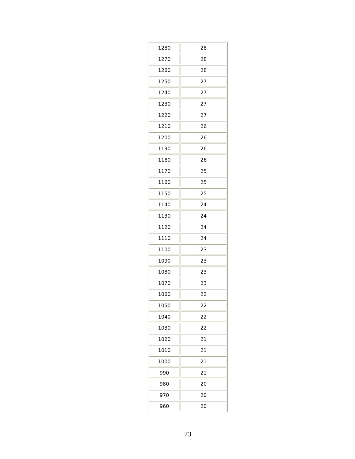| 1280 | 28 |
|------|----|
| 1270 | 28 |
| 1260 | 28 |
| 1250 | 27 |
| 1240 | 27 |
| 1230 | 27 |
| 1220 | 27 |
| 1210 | 26 |
| 1200 | 26 |
| 1190 | 26 |
| 1180 | 26 |
| 1170 | 25 |
| 1160 | 25 |
| 1150 | 25 |
| 1140 | 24 |
| 1130 | 24 |
| 1120 | 24 |
| 1110 | 24 |
| 1100 | 23 |
| 1090 | 23 |
| 1080 | 23 |
| 1070 | 23 |
| 1060 | 22 |
| 1050 | 22 |
| 1040 | 22 |
| 1030 | 22 |
| 1020 | 21 |
| 1010 | 21 |
| 1000 | 21 |
| 990  | 21 |
| 980  | 20 |
| 970  | 20 |
| 960  | 20 |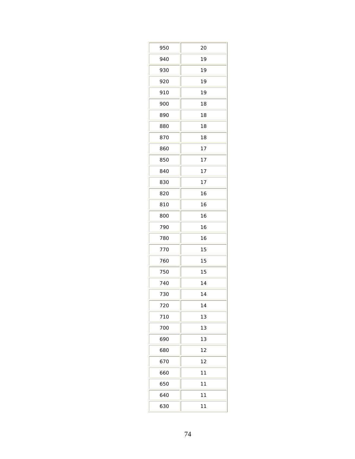| 950 | 20 |
|-----|----|
| 940 | 19 |
| 930 | 19 |
| 920 | 19 |
| 910 | 19 |
| 900 | 18 |
| 890 | 18 |
| 880 | 18 |
| 870 | 18 |
| 860 | 17 |
| 850 | 17 |
| 840 | 17 |
| 830 | 17 |
| 820 | 16 |
| 810 | 16 |
| 800 | 16 |
| 790 | 16 |
| 780 | 16 |
| 770 | 15 |
| 760 | 15 |
| 750 | 15 |
| 740 | 14 |
| 730 | 14 |
| 720 | 14 |
| 710 | 13 |
| 700 | 13 |
| 690 | 13 |
| 680 | 12 |
| 670 | 12 |
| 660 | 11 |
| 650 | 11 |
| 640 | 11 |
| 630 | 11 |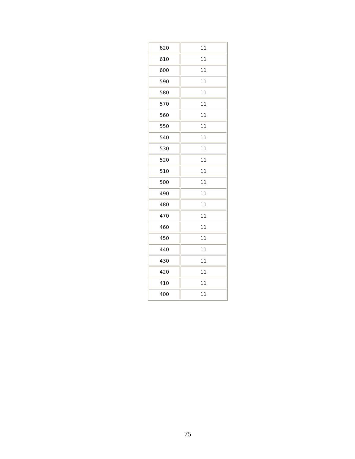| 620 | 11 |
|-----|----|
| 610 | 11 |
| 600 | 11 |
| 590 | 11 |
| 580 | 11 |
| 570 | 11 |
| 560 | 11 |
| 550 | 11 |
| 540 | 11 |
| 530 | 11 |
| 520 | 11 |
| 510 | 11 |
| 500 | 11 |
| 490 | 11 |
| 480 | 11 |
| 470 | 11 |
| 460 | 11 |
| 450 | 11 |
| 440 | 11 |
| 430 | 11 |
| 420 | 11 |
| 410 | 11 |
| 400 | 11 |
|     |    |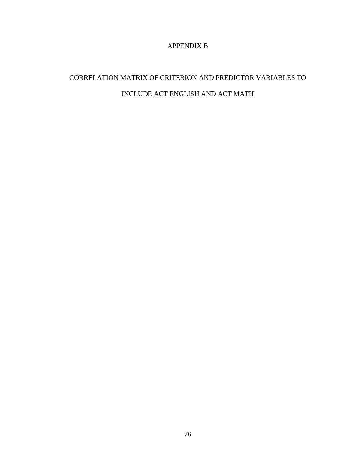## APPENDIX B

## CORRELATION MATRIX OF CRITERION AND PREDICTOR VARIABLES TO INCLUDE ACT ENGLISH AND ACT MATH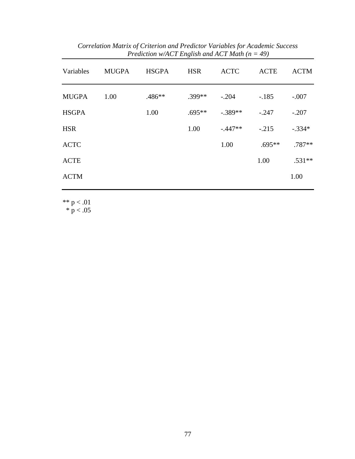| Variables    | <b>MUGPA</b> | <b>HSGPA</b> | <b>HSR</b> | <b>ACTC</b> | <b>ACTE</b> | <b>ACTM</b> |
|--------------|--------------|--------------|------------|-------------|-------------|-------------|
| <b>MUGPA</b> | 1.00         | .486**       | $.399**$   | $-.204$     | $-.185$     | $-.007$     |
| <b>HSGPA</b> |              | 1.00         | $.695**$   | $-.389**$   | $-.247$     | $-.207$     |
| <b>HSR</b>   |              |              | 1.00       | $-.447**$   | $-.215$     | $-.334*$    |
| <b>ACTC</b>  |              |              |            | 1.00        | $.695**$    | $.787**$    |
| <b>ACTE</b>  |              |              |            |             | 1.00        | $.531**$    |
| <b>ACTM</b>  |              |              |            |             |             | 1.00        |
|              |              |              |            |             |             |             |

*Correlation Matrix of Criterion and Predictor Variables for Academic Success Prediction w/ACT English and ACT Math (n = 49)*

\*\*  $p < .01$ 

 $*$  p < .05